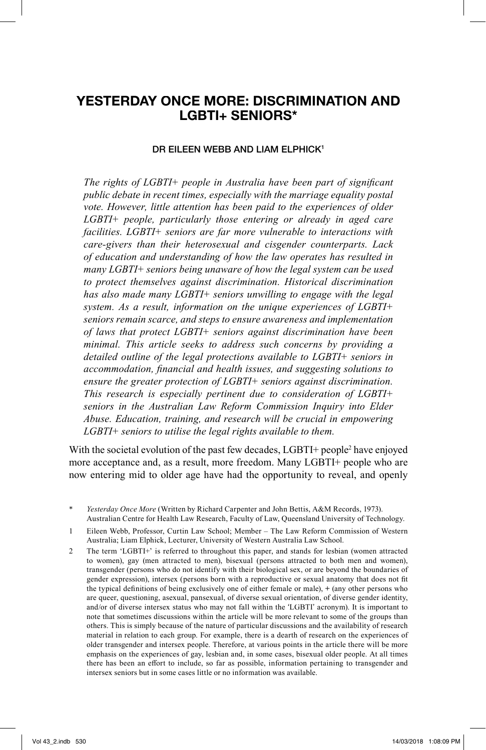# **YESTERDAY ONCE MORE: DISCRIMINATION AND LGBTI+ SENIORS\***

#### **DR EILEEN WEBB AND LIAM ELPHICK1**

The rights of LGBTI+ people in Australia have been part of significant *public debate in recent times, especially with the marriage equality postal vote. However, little attention has been paid to the experiences of older LGBTI+ people, particularly those entering or already in aged care facilities. LGBTI+ seniors are far more vulnerable to interactions with care-givers than their heterosexual and cisgender counterparts. Lack of education and understanding of how the law operates has resulted in many LGBTI+ seniors being unaware of how the legal system can be used to protect themselves against discrimination. Historical discrimination has also made many LGBTI+ seniors unwilling to engage with the legal system. As a result, information on the unique experiences of LGBTI+ seniors remain scarce, and steps to ensure awareness and implementation of laws that protect LGBTI+ seniors against discrimination have been minimal. This article seeks to address such concerns by providing a detailed outline of the legal protections available to LGBTI+ seniors in accommodation, financial and health issues, and suggesting solutions to ensure the greater protection of LGBTI+ seniors against discrimination. This research is especially pertinent due to consideration of LGBTI+ seniors in the Australian Law Reform Commission Inquiry into Elder Abuse. Education, training, and research will be crucial in empowering LGBTI+ seniors to utilise the legal rights available to them.*

With the societal evolution of the past few decades, LGBTI+ people<sup>2</sup> have enjoyed more acceptance and, as a result, more freedom. Many LGBTI+ people who are now entering mid to older age have had the opportunity to reveal, and openly

Yesterday Once More (Written by Richard Carpenter and John Bettis, A&M Records, 1973). Australian Centre for Health Law Research, Faculty of Law, Queensland University of Technology.

2 The term 'LGBTI+' is referred to throughout this paper, and stands for lesbian (women attracted to women), gay (men attracted to men), bisexual (persons attracted to both men and women), transgender (persons who do not identify with their biological sex, or are beyond the boundaries of gender expression), intersex (persons born with a reproductive or sexual anatomy that does not fit the typical definitions of being exclusively one of either female or male),  $+$  (any other persons who are queer, questioning, asexual, pansexual, of diverse sexual orientation, of diverse gender identity, and/or of diverse intersex status who may not fall within the 'LGBTI' acronym). It is important to note that sometimes discussions within the article will be more relevant to some of the groups than others. This is simply because of the nature of particular discussions and the availability of research material in relation to each group. For example, there is a dearth of research on the experiences of older transgender and intersex people. Therefore, at various points in the article there will be more emphasis on the experiences of gay, lesbian and, in some cases, bisexual older people. At all times there has been an effort to include, so far as possible, information pertaining to transgender and intersex seniors but in some cases little or no information was available.

<sup>1</sup> Eileen Webb, Professor, Curtin Law School; Member – The Law Reform Commission of Western Australia; Liam Elphick, Lecturer, University of Western Australia Law School.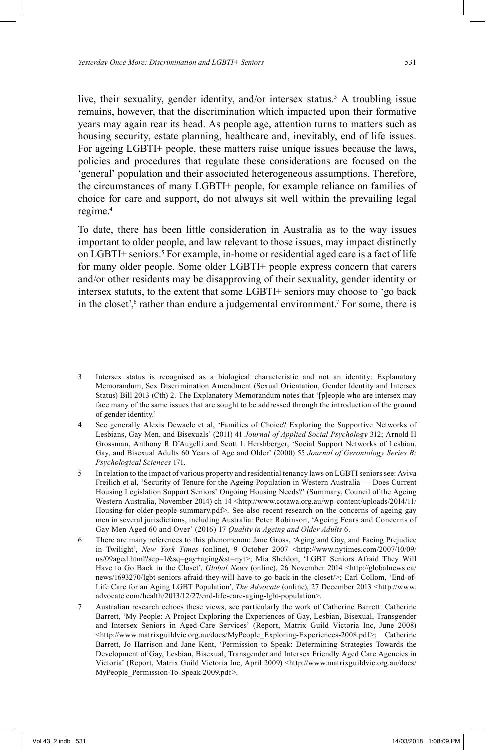live, their sexuality, gender identity, and/or intersex status. 3 A troubling issue remains, however, that the discrimination which impacted upon their formative years may again rear its head. As people age, attention turns to matters such as housing security, estate planning, healthcare and, inevitably, end of life issues. For ageing LGBTI+ people, these matters raise unique issues because the laws, policies and procedures that regulate these considerations are focused on the 'general' population and their associated heterogeneous assumptions. Therefore, the circumstances of many LGBTI+ people, for example reliance on families of choice for care and support, do not always sit well within the prevailing legal regime. 4

To date, there has been little consideration in Australia as to the way issues important to older people, and law relevant to those issues, may impact distinctly on LGBTI+ seniors. 5 For example, in-home or residential aged care is a fact of life for many older people. Some older LGBTI+ people express concern that carers and/or other residents may be disapproving of their sexuality, gender identity or intersex statuts, to the extent that some LGBTI+ seniors may choose to 'go back in the closet',<sup>6</sup> rather than endure a judgemental environment.<sup>7</sup> For some, there is

- 3 Intersex status is recognised as a biological characteristic and not an identity: Explanatory Memorandum, Sex Discrimination Amendment (Sexual Orientation, Gender Identity and Intersex Status) Bill 2013 (Cth) 2. The Explanatory Memorandum notes that '[p]eople who are intersex may face many of the same issues that are sought to be addressed through the introduction of the ground of gender identity.'
- 4 See generally Alexis Dewaele et al, 'Families of Choice? Exploring the Supportive Networks of Lesbians, Gay Men, and Bisexuals' (2011) 41 *Journal of Applied Social Psychology* 312; Arnold H Grossman, Anthony R D'Augelli and Scott L Hershberger, 'Social Support Networks of Lesbian, Gay, and Bisexual Adults 60 Years of Age and Older' (2000) 55 *Journal of Gerontology Series B: Psychological Sciences* 171.
- 5 In relation to the impact of various property and residential tenancy laws on LGBTI seniors see: Aviva Freilich et al, 'Security of Tenure for the Ageing Population in Western Australia — Does Current Housing Legislation Support Seniors' Ongoing Housing Needs?' (Summary, Council of the Ageing Western Australia, November 2014) ch 14 <http://www.cotawa.org.au/wp-content/uploads/2014/11/ Housing-for-older-people-summary.pdf>. See also recent research on the concerns of ageing gay men in several jurisdictions, including Australia: Peter Robinson, 'Ageing Fears and Concerns of Gay Men Aged 60 and Over' (2016) 17 *Quality in Ageing and Older Adults* 6.
- 6 There are many references to this phenomenon: Jane Gross, 'Aging and Gay, and Facing Prejudice in Twilight', *New York Times* (online), 9 October 2007 <http://www.nytimes.com/2007/10/09/ us/09aged.html?scp=1&sq=gay+aging&st=nyt>; Mia Sheldon, 'LGBT Seniors Afraid They Will Have to Go Back in the Closet', *Global News* (online), 26 November 2014 <http://globalnews.ca/ news/1693270/lgbt-seniors-afraid-they-will-have-to-go-back-in-the-closet/>; Earl Collom, 'End-of-Life Care for an Aging LGBT Population', *The Advocate* (online), 27 December 2013 <http://www. advocate.com/health/2013/12/27/end-life-care-aging-lgbt-population>.
- 7 Australian research echoes these views, see particularly the work of Catherine Barrett: Catherine Barrett, 'My People: A Project Exploring the Experiences of Gay, Lesbian, Bisexual, Transgender and Intersex Seniors in Aged-Care Services' (Report, Matrix Guild Victoria Inc, June 2008) <http://www.matrixguildvic.org.au/docs/MyPeople\_Exploring-Experiences-2008.pdf>; Catherine Barrett, Jo Harrison and Jane Kent, 'Permission to Speak: Determining Strategies Towards the Development of Gay, Lesbian, Bisexual, Transgender and Intersex Friendly Aged Care Agencies in Victoria' (Report, Matrix Guild Victoria Inc, April 2009) <http://www.matrixguildvic.org.au/docs/ MyPeople\_Permission-To-Speak-2009.pdf>.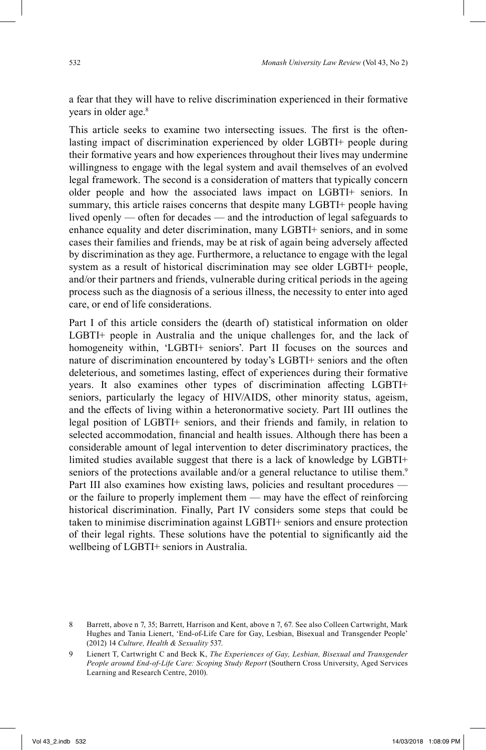a fear that they will have to relive discrimination experienced in their formative years in older age. 8

This article seeks to examine two intersecting issues. The first is the oftenlasting impact of discrimination experienced by older LGBTI+ people during their formative years and how experiences throughout their lives may undermine willingness to engage with the legal system and avail themselves of an evolved legal framework. The second is a consideration of matters that typically concern older people and how the associated laws impact on LGBTI+ seniors. In summary, this article raises concerns that despite many LGBTI+ people having lived openly — often for decades — and the introduction of legal safeguards to enhance equality and deter discrimination, many LGBTI+ seniors, and in some cases their families and friends, may be at risk of again being adversely affected by discrimination as they age. Furthermore, a reluctance to engage with the legal system as a result of historical discrimination may see older LGBTI+ people, and/or their partners and friends, vulnerable during critical periods in the ageing process such as the diagnosis of a serious illness, the necessity to enter into aged care, or end of life considerations.

Part I of this article considers the (dearth of) statistical information on older LGBTI+ people in Australia and the unique challenges for, and the lack of homogeneity within, 'LGBTI+ seniors'. Part II focuses on the sources and nature of discrimination encountered by today's LGBTI+ seniors and the often deleterious, and sometimes lasting, effect of experiences during their formative years. It also examines other types of discrimination affecting LGBTI+ seniors, particularly the legacy of HIV/AIDS, other minority status, ageism, and the effects of living within a heteronormative society. Part III outlines the legal position of LGBTI+ seniors, and their friends and family, in relation to selected accommodation, financial and health issues. Although there has been a considerable amount of legal intervention to deter discriminatory practices, the limited studies available suggest that there is a lack of knowledge by LGBTI+ seniors of the protections available and/or a general reluctance to utilise them.<sup>9</sup> Part III also examines how existing laws, policies and resultant procedures or the failure to properly implement them  $-$  may have the effect of reinforcing historical discrimination. Finally, Part IV considers some steps that could be taken to minimise discrimination against LGBTI+ seniors and ensure protection of their legal rights. These solutions have the potential to significantly aid the wellbeing of LGBTI+ seniors in Australia.

<sup>8</sup> Barrett, above n 7, 35; Barrett, Harrison and Kent, above n 7, 67. See also Colleen Cartwright, Mark Hughes and Tania Lienert, 'End-of-Life Care for Gay, Lesbian, Bisexual and Transgender People' (2012) 14 *Culture, Health & Sexuality* 537.

<sup>9</sup> Lienert T, Cartwright C and Beck K, *The Experiences of Gay, Lesbian, Bisexual and Transgender People around End-of-Life Care: Scoping Study Report* (Southern Cross University, Aged Services Learning and Research Centre, 2010).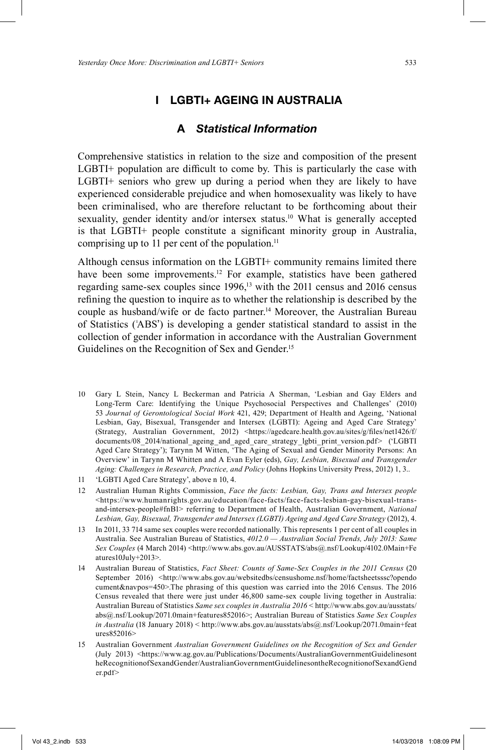# **I LGBTI+ AGEING IN AUSTRALIA**

### **A** *Statistical Information*

Comprehensive statistics in relation to the size and composition of the present  $LGBTI+$  population are difficult to come by. This is particularly the case with LGBTI+ seniors who grew up during a period when they are likely to have experienced considerable prejudice and when homosexuality was likely to have been criminalised, who are therefore reluctant to be forthcoming about their sexuality, gender identity and/or intersex status. 10 What is generally accepted is that  $LGBTI+$  people constitute a significant minority group in Australia, comprising up to 11 per cent of the population. 11

Although census information on the LGBTI+ community remains limited there have been some improvements. 12 For example, statistics have been gathered regarding same-sex couples since 1996,<sup>13</sup> with the 2011 census and 2016 census refining the question to inquire as to whether the relationship is described by the couple as husband/wife or de facto partner. 14 Moreover, the Australian Bureau of Statistics ('ABS') is developing a gender statistical standard to assist in the collection of gender information in accordance with the Australian Government Guidelines on the Recognition of Sex and Gender. 15

- 10 Gary L Stein, Nancy L Beckerman and Patricia A Sherman, 'Lesbian and Gay Elders and Long-Term Care: Identifying the Unique Psychosocial Perspectives and Challenges' (2010) 53 *Journal of Gerontological Social Work* 421, 429; Department of Health and Ageing, 'National Lesbian, Gay, Bisexual, Transgender and Intersex (LGBTI): Ageing and Aged Care Strategy' (Strategy, Australian Government, 2012) <https://agedcare.health.gov.au/sites/g/files/net1426/f/ documents/08\_2014/national\_ageing\_and\_aged\_care\_strategy\_lgbti\_print\_version.pdf> ('LGBTI Aged Care Strategy'); Tarynn M Witten, 'The Aging of Sexual and Gender Minority Persons: An Overview' in Tarynn M Whitten and A Evan Eyler (eds), *Gay, Lesbian, Bisexual and Transgender Aging: Challenges in Research, Practice, and Policy* (Johns Hopkins University Press, 2012) 1, 3..
- 11 'LGBTI Aged Care Strategy', above n 10, 4.
- 12 Australian Human Rights Commission, *Face the facts: Lesbian, Gay, Trans and Intersex people* <https://www.humanrights.gov.au/education/face-facts/face-facts-lesbian-gay-bisexual-transand-intersex-people#fnB1> referring to Department of Health, Australian Government, *National Lesbian, Gay, Bisexual, Transgender and Intersex (LGBTI) Ageing and Aged Care Strategy* (2012), 4.
- 13 In 2011, 33 714 same sex couples were recorded nationally. This represents 1 per cent of all couples in Australia. See Australian Bureau of Statistics, *4012.0 — Australian Social Trends, July 2013: Same Sex Couples* (4 March 2014) <http://www.abs.gov.au/AUSSTATS/abs@.nsf/Lookup/4102.0Main+Fe atures10July+2013>.
- 14 Australian Bureau of Statistics, *Fact Sheet: Counts of Same-Sex Couples in the 2011 Census* (20 September 2016) <http://www.abs.gov.au/websitedbs/censushome.nsf/home/factsheetsssc?opendo cument&navpos=450>.The phrasing of this question was carried into the 2016 Census. The 2016 Census revealed that there were just under 46,800 same-sex couple living together in Australia: Australian Bureau of Statistics *Same sex couples in Australia 2016* < http://www.abs.gov.au/ausstats/ abs@.nsf/Lookup/2071.0main+features852016>; Australian Bureau of Statistics *Same Sex Couples in Australia* (18 January 2018) < http://www.abs.gov.au/ausstats/abs@.nsf/Lookup/2071.0main+feat ures852016>
- 15 Australian Government *Australian Government Guidelines on the Recognition of Sex and Gender*  (July 2013) <https://www.ag.gov.au/Publications/Documents/AustralianGovernmentGuidelinesont heRecognitionofSexandGender/AustralianGovernmentGuidelinesontheRecognitionofSexandGend er.pdf>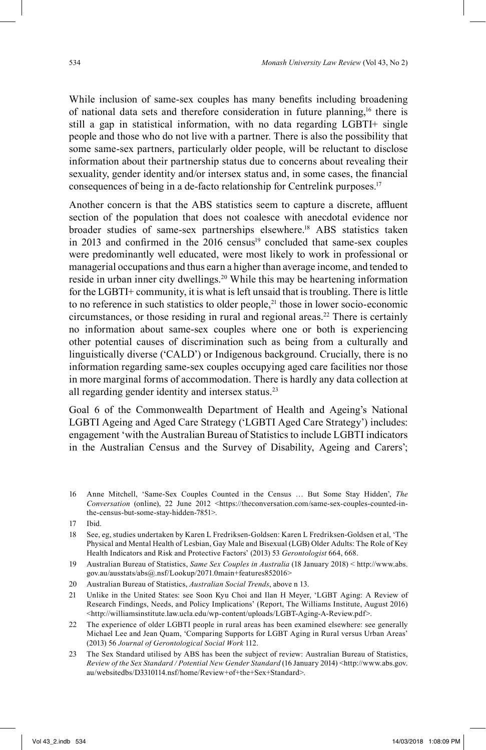While inclusion of same-sex couples has many benefits including broadening of national data sets and therefore consideration in future planning,<sup>16</sup> there is still a gap in statistical information, with no data regarding LGBTI+ single people and those who do not live with a partner. There is also the possibility that some same-sex partners, particularly older people, will be reluctant to disclose information about their partnership status due to concerns about revealing their sexuality, gender identity and/or intersex status and, in some cases, the financial consequences of being in a de-facto relationship for Centrelink purposes. 17

Another concern is that the ABS statistics seem to capture a discrete, affluent section of the population that does not coalesce with anecdotal evidence nor broader studies of same-sex partnerships elsewhere. 18 ABS statistics taken in 2013 and confirmed in the  $2016$  census<sup>19</sup> concluded that same-sex couples were predominantly well educated, were most likely to work in professional or managerial occupations and thus earn a higher than average income, and tended to reside in urban inner city dwellings. 20 While this may be heartening information for the LGBTI+ community, it is what is left unsaid that is troubling. There is little to no reference in such statistics to older people, $21$  those in lower socio-economic circumstances, or those residing in rural and regional areas. 22 There is certainly no information about same-sex couples where one or both is experiencing other potential causes of discrimination such as being from a culturally and linguistically diverse ('CALD') or Indigenous background. Crucially, there is no information regarding same-sex couples occupying aged care facilities nor those in more marginal forms of accommodation. There is hardly any data collection at all regarding gender identity and intersex status. 23

Goal 6 of the Commonwealth Department of Health and Ageing's National LGBTI Ageing and Aged Care Strategy ('LGBTI Aged Care Strategy') includes: engagement 'with the Australian Bureau of Statistics to include LGBTI indicators in the Australian Census and the Survey of Disability, Ageing and Carers';

16 Anne Mitchell, 'Same-Sex Couples Counted in the Census … But Some Stay Hidden', *The Conversation* (online), 22 June 2012 <https://theconversation.com/same-sex-couples-counted-inthe-census-but-some-stay-hidden-7851>.

- 18 See, eg, studies undertaken by Karen L Fredriksen-Goldsen: Karen L Fredriksen-Goldsen et al, 'The Physical and Mental Health of Lesbian, Gay Male and Bisexual (LGB) Older Adults: The Role of Key Health Indicators and Risk and Protective Factors' (2013) 53 *Gerontologist* 664, 668.
- 19 Australian Bureau of Statistics, *Same Sex Couples in Australia* (18 January 2018) < http://www.abs. gov.au/ausstats/abs@.nsf/Lookup/2071.0main+features852016>
- 20 Australian Bureau of Statistics, *Australian Social Trends*, above n 13.
- 21 Unlike in the United States: see Soon Kyu Choi and Ilan H Meyer, 'LGBT Aging: A Review of Research Findings, Needs, and Policy Implications' (Report, The Williams Institute, August 2016) <http://williamsinstitute.law.ucla.edu/wp-content/uploads/LGBT-Aging-A-Review.pdf>.
- 22 The experience of older LGBTI people in rural areas has been examined elsewhere: see generally Michael Lee and Jean Quam, 'Comparing Supports for LGBT Aging in Rural versus Urban Areas' (2013) 56 *Journal of Gerontological Social Work* 112.
- 23 The Sex Standard utilised by ABS has been the subject of review: Australian Bureau of Statistics, *Review of the Sex Standard / Potential New Gender Standard* (16 January 2014) <http://www.abs.gov. au/websitedbs/D3310114.nsf/home/Review+of+the+Sex+Standard>.

<sup>17</sup> Ibid.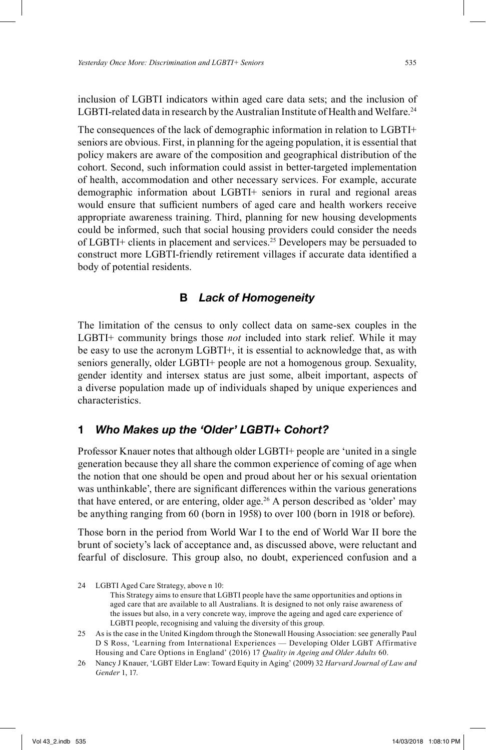inclusion of LGBTI indicators within aged care data sets; and the inclusion of LGBTI-related data in research by the Australian Institute of Health and Welfare.<sup>24</sup>

The consequences of the lack of demographic information in relation to LGBTI+ seniors are obvious. First, in planning for the ageing population, it is essential that policy makers are aware of the composition and geographical distribution of the cohort. Second, such information could assist in better-targeted implementation of health, accommodation and other necessary services. For example, accurate demographic information about LGBTI+ seniors in rural and regional areas would ensure that sufficient numbers of aged care and health workers receive appropriate awareness training. Third, planning for new housing developments could be informed, such that social housing providers could consider the needs of LGBTI+ clients in placement and services. 25 Developers may be persuaded to construct more LGBTI-friendly retirement villages if accurate data identified a body of potential residents.

### **B** *Lack of Homogeneity*

The limitation of the census to only collect data on same-sex couples in the LGBTI+ community brings those *not* included into stark relief. While it may be easy to use the acronym LGBTI+, it is essential to acknowledge that, as with seniors generally, older LGBTI+ people are not a homogenous group. Sexuality, gender identity and intersex status are just some, albeit important, aspects of a diverse population made up of individuals shaped by unique experiences and characteristics.

# **1** *Who Makes up the 'Older' LGBTI+ Cohort?*

Professor Knauer notes that although older LGBTI+ people are 'united in a single generation because they all share the common experience of coming of age when the notion that one should be open and proud about her or his sexual orientation was unthinkable', there are significant differences within the various generations that have entered, or are entering, older age. 26 A person described as 'older' may be anything ranging from 60 (born in 1958) to over 100 (born in 1918 or before).

Those born in the period from World War I to the end of World War II bore the brunt of society's lack of acceptance and, as discussed above, were reluctant and fearful of disclosure. This group also, no doubt, experienced confusion and a

<sup>24</sup> LGBTI Aged Care Strategy, above n 10: This Strategy aims to ensure that LGBTI people have the same opportunities and options in aged care that are available to all Australians. It is designed to not only raise awareness of the issues but also, in a very concrete way, improve the ageing and aged care experience of LGBTI people, recognising and valuing the diversity of this group.

<sup>25</sup> As is the case in the United Kingdom through the Stonewall Housing Association: see generally Paul D S Ross, 'Learning from International Experiences — Developing Older LGBT Affirmative Housing and Care Options in England' (2016) 17 *Quality in Ageing and Older Adults* 60.

<sup>26</sup> Nancy J Knauer, 'LGBT Elder Law: Toward Equity in Aging' (2009) 32 *Harvard Journal of Law and Gender* 1, 17.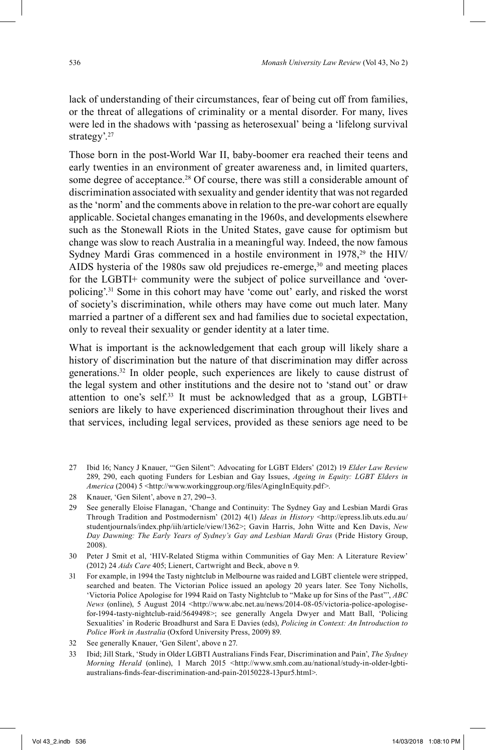lack of understanding of their circumstances, fear of being cut off from families, or the threat of allegations of criminality or a mental disorder. For many, lives were led in the shadows with 'passing as heterosexual' being a 'lifelong survival strategy'.<sup>27</sup>

Those born in the post-World War II, baby-boomer era reached their teens and early twenties in an environment of greater awareness and, in limited quarters, some degree of acceptance. 28 Of course, there was still a considerable amount of discrimination associated with sexuality and gender identity that was not regarded as the 'norm' and the comments above in relation to the pre-war cohort are equally applicable. Societal changes emanating in the 1960s, and developments elsewhere such as the Stonewall Riots in the United States, gave cause for optimism but change was slow to reach Australia in a meaningful way. Indeed, the now famous Sydney Mardi Gras commenced in a hostile environment in 1978,<sup>29</sup> the HIV/ AIDS hysteria of the 1980s saw old prejudices re-emerge,<sup>30</sup> and meeting places for the LGBTI+ community were the subject of police surveillance and 'overpolicing'. 31 Some in this cohort may have 'come out' early, and risked the worst of society's discrimination, while others may have come out much later. Many married a partner of a different sex and had families due to societal expectation, only to reveal their sexuality or gender identity at a later time.

What is important is the acknowledgement that each group will likely share a history of discrimination but the nature of that discrimination may differ across generations. 32 In older people, such experiences are likely to cause distrust of the legal system and other institutions and the desire not to 'stand out' or draw attention to one's self. 33 It must be acknowledged that as a group, LGBTI+ seniors are likely to have experienced discrimination throughout their lives and that services, including legal services, provided as these seniors age need to be

<sup>27</sup> Ibid 16; Nancy J Knauer, '"Gen Silent": Advocating for LGBT Elders' (2012) 19 *Elder Law Review* 289, 290, each quoting Funders for Lesbian and Gay Issues, *Ageing in Equity: LGBT Elders in America* (2004) 5 <http://www.workinggroup.org/files/AgingInEquity.pdf>.

<sup>28</sup> Knauer, 'Gen Silent', above n 27, 290–3.

<sup>29</sup> See generally Eloise Flanagan, 'Change and Continuity: The Sydney Gay and Lesbian Mardi Gras Through Tradition and Postmodernism' (2012) 4(1) *Ideas in History* <http://epress.lib.uts.edu.au/ studentjournals/index.php/iih/article/view/1362>; Gavin Harris, John Witte and Ken Davis, *New Day Dawning: The Early Years of Sydney's Gay and Lesbian Mardi Gras* (Pride History Group, 2008).

<sup>30</sup> Peter J Smit et al, 'HIV-Related Stigma within Communities of Gay Men: A Literature Review' (2012) 24 *Aids Care* 405; Lienert, Cartwright and Beck, above n 9.

<sup>31</sup> For example, in 1994 the Tasty nightclub in Melbourne was raided and LGBT clientele were stripped, searched and beaten. The Victorian Police issued an apology 20 years later. See Tony Nicholls, 'Victoria Police Apologise for 1994 Raid on Tasty Nightclub to "Make up for Sins of the Past"', *ABC News* (online), 5 August 2014 <http://www.abc.net.au/news/2014-08-05/victoria-police-apologisefor-1994-tasty-nightclub-raid/5649498>; see generally Angela Dwyer and Matt Ball, 'Policing Sexualities' in Roderic Broadhurst and Sara E Davies (eds), *Policing in Context: An Introduction to Police Work in Australia* (Oxford University Press, 2009) 89.

<sup>32</sup> See generally Knauer, 'Gen Silent', above n 27.

<sup>33</sup> Ibid; Jill Stark, 'Study in Older LGBTI Australians Finds Fear, Discrimination and Pain', *The Sydney Morning Herald* (online), 1 March 2015 <http://www.smh.com.au/national/study-in-older-lgbtiaustralians-finds-fear-discrimination-and-pain-20150228-13pur5.html>.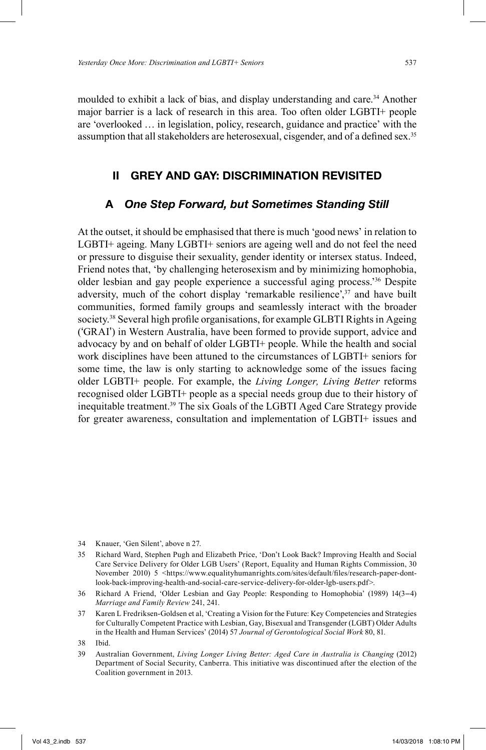moulded to exhibit a lack of bias, and display understanding and care. 34 Another major barrier is a lack of research in this area. Too often older LGBTI+ people are 'overlooked … in legislation, policy, research, guidance and practice' with the assumption that all stakeholders are heterosexual, cisgender, and of a defined sex.<sup>35</sup>

# **II GREY AND GAY: DISCRIMINATION REVISITED**

# **A** *One Step Forward, but Sometimes Standing Still*

At the outset, it should be emphasised that there is much 'good news' in relation to LGBTI+ ageing. Many LGBTI+ seniors are ageing well and do not feel the need or pressure to disguise their sexuality, gender identity or intersex status. Indeed, Friend notes that, 'by challenging heterosexism and by minimizing homophobia, older lesbian and gay people experience a successful aging process.' 36 Despite adversity, much of the cohort display 'remarkable resilience',<sup>37</sup> and have built communities, formed family groups and seamlessly interact with the broader society.<sup>38</sup> Several high profile organisations, for example GLBTI Rights in Ageing ('GRAI') in Western Australia, have been formed to provide support, advice and advocacy by and on behalf of older LGBTI+ people. While the health and social work disciplines have been attuned to the circumstances of LGBTI+ seniors for some time, the law is only starting to acknowledge some of the issues facing older LGBTI+ people. For example, the *Living Longer, Living Better* reforms recognised older LGBTI+ people as a special needs group due to their history of inequitable treatment.<sup>39</sup> The six Goals of the LGBTI Aged Care Strategy provide for greater awareness, consultation and implementation of LGBTI+ issues and

<sup>34</sup> Knauer, 'Gen Silent', above n 27.

<sup>35</sup> Richard Ward, Stephen Pugh and Elizabeth Price, 'Don't Look Back? Improving Health and Social Care Service Delivery for Older LGB Users' (Report, Equality and Human Rights Commission, 30 November 2010) 5 <https://www.equalityhumanrights.com/sites/default/files/research-paper-dontlook-back-improving-health-and-social-care-service-delivery-for-older-lgb-users.pdf>.

<sup>36</sup> Richard A Friend, 'Older Lesbian and Gay People: Responding to Homophobia' (1989) 14(3–4) *Marriage and Family Review* 241, 241.

<sup>37</sup> Karen L Fredriksen-Goldsen et al, 'Creating a Vision for the Future: Key Competencies and Strategies for Culturally Competent Practice with Lesbian, Gay, Bisexual and Transgender (LGBT) Older Adults in the Health and Human Services' (2014) 57 *Journal of Gerontological Social Work* 80, 81.

<sup>38</sup> Ibid.

<sup>39</sup> Australian Government, *Living Longer Living Better: Aged Care in Australia is Changing* (2012) Department of Social Security, Canberra. This initiative was discontinued after the election of the Coalition government in 2013.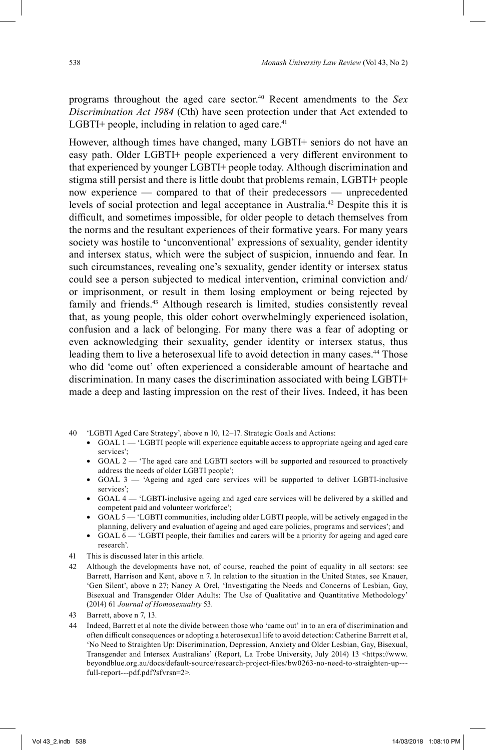programs throughout the aged care sector. 40 Recent amendments to the *Sex Discrimination Act 1984* (Cth) have seen protection under that Act extended to LGBTI+ people, including in relation to aged care.<sup>41</sup>

However, although times have changed, many LGBTI+ seniors do not have an easy path. Older LGBTI+ people experienced a very different environment to that experienced by younger LGBTI+ people today. Although discrimination and stigma still persist and there is little doubt that problems remain, LGBTI+ people now experience — compared to that of their predecessors — unprecedented levels of social protection and legal acceptance in Australia. 42 Despite this it is difficult, and sometimes impossible, for older people to detach themselves from the norms and the resultant experiences of their formative years. For many years society was hostile to 'unconventional' expressions of sexuality, gender identity and intersex status, which were the subject of suspicion, innuendo and fear. In such circumstances, revealing one's sexuality, gender identity or intersex status could see a person subjected to medical intervention, criminal conviction and/ or imprisonment, or result in them losing employment or being rejected by family and friends. 43 Although research is limited, studies consistently reveal that, as young people, this older cohort overwhelmingly experienced isolation, confusion and a lack of belonging. For many there was a fear of adopting or even acknowledging their sexuality, gender identity or intersex status, thus leading them to live a heterosexual life to avoid detection in many cases. 44 Those who did 'come out' often experienced a considerable amount of heartache and discrimination. In many cases the discrimination associated with being LGBTI+ made a deep and lasting impression on the rest of their lives. Indeed, it has been

- 40 'LGBTI Aged Care Strategy', above n 10, 12–17. Strategic Goals and Actions:
	- $GOAL 1$  'LGBTI people will experience equitable access to appropriate ageing and aged care services';
	- GOAL 2 'The aged care and LGBTI sectors will be supported and resourced to proactively address the needs of older LGBTI people';
	- GOAL  $3$  'Ageing and aged care services will be supported to deliver LGBTI-inclusive services';
	- GOAL 4 'LGBTI-inclusive ageing and aged care services will be delivered by a skilled and competent paid and volunteer workforce';
	- GOAL 5 'LGBTI communities, including older LGBTI people, will be actively engaged in the planning, delivery and evaluation of ageing and aged care policies, programs and services'; and
	- GOAL 6 'LGBTI people, their families and carers will be a priority for ageing and aged care research'.
- 41 This is discussed later in this article.
- 42 Although the developments have not, of course, reached the point of equality in all sectors: see Barrett, Harrison and Kent, above n 7. In relation to the situation in the United States, see Knauer, 'Gen Silent', above n 27; Nancy A Orel, 'Investigating the Needs and Concerns of Lesbian, Gay, Bisexual and Transgender Older Adults: The Use of Qualitative and Quantitative Methodology' (2014) 61 *Journal of Homosexuality* 53.
- 43 Barrett, above n 7, 13.
- 44 Indeed, Barrett et al note the divide between those who 'came out' in to an era of discrimination and often difficult consequences or adopting a heterosexual life to avoid detection: Catherine Barrett et al, 'No Need to Straighten Up: Discrimination, Depression, Anxiety and Older Lesbian, Gay, Bisexual, Transgender and Intersex Australians' (Report, La Trobe University, July 2014) 13 <https://www. beyondblue.org.au/docs/default-source/research-project-fi les/bw0263-no-need-to-straighten-up-- full-report---pdf.pdf?sfvrsn=2>.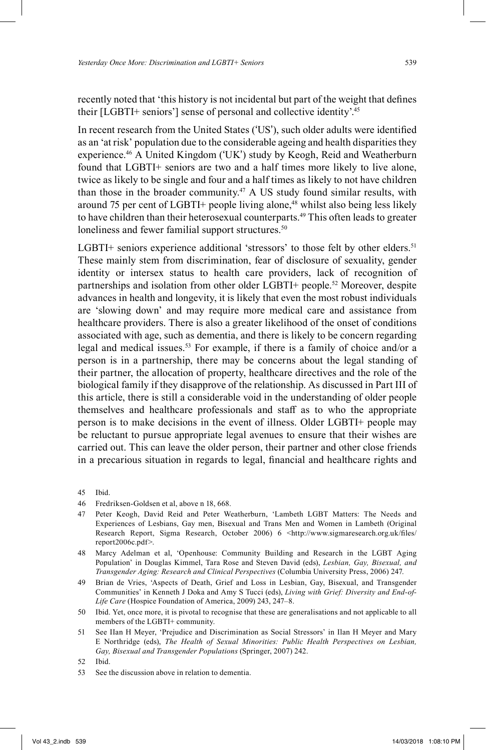recently noted that 'this history is not incidental but part of the weight that defines their [LGBTI+ seniors'] sense of personal and collective identity'.<sup>45</sup>

In recent research from the United States ('US'), such older adults were identified as an 'at risk' population due to the considerable ageing and health disparities they experience. 46 A United Kingdom ('UK') study by Keogh, Reid and Weatherburn found that LGBTI+ seniors are two and a half times more likely to live alone, twice as likely to be single and four and a half times as likely to not have children than those in the broader community. 47 A US study found similar results, with around 75 per cent of LGBTI+ people living alone,<sup>48</sup> whilst also being less likely to have children than their heterosexual counterparts. 49 This often leads to greater loneliness and fewer familial support structures.<sup>50</sup>

LGBTI+ seniors experience additional 'stressors' to those felt by other elders.<sup>51</sup> These mainly stem from discrimination, fear of disclosure of sexuality, gender identity or intersex status to health care providers, lack of recognition of partnerships and isolation from other older LGBTI+ people. 52 Moreover, despite advances in health and longevity, it is likely that even the most robust individuals are 'slowing down' and may require more medical care and assistance from healthcare providers. There is also a greater likelihood of the onset of conditions associated with age, such as dementia, and there is likely to be concern regarding legal and medical issues. 53 For example, if there is a family of choice and/or a person is in a partnership, there may be concerns about the legal standing of their partner, the allocation of property, healthcare directives and the role of the biological family if they disapprove of the relationship. As discussed in Part III of this article, there is still a considerable void in the understanding of older people themselves and healthcare professionals and staff as to who the appropriate person is to make decisions in the event of illness. Older LGBTI+ people may be reluctant to pursue appropriate legal avenues to ensure that their wishes are carried out. This can leave the older person, their partner and other close friends in a precarious situation in regards to legal, financial and healthcare rights and

- 47 Peter Keogh, David Reid and Peter Weatherburn, 'Lambeth LGBT Matters: The Needs and Experiences of Lesbians, Gay men, Bisexual and Trans Men and Women in Lambeth (Original Research Report, Sigma Research, October 2006) 6 <http://www.sigmaresearch.org.uk/files/ report2006c.pdf>.
- 48 Marcy Adelman et al, 'Openhouse: Community Building and Research in the LGBT Aging Population' in Douglas Kimmel, Tara Rose and Steven David (eds), *Lesbian, Gay, Bisexual, and Transgender Aging: Research and Clinical Perspectives* (Columbia University Press, 2006) 247.
- 49 Brian de Vries, 'Aspects of Death, Grief and Loss in Lesbian, Gay, Bisexual, and Transgender Communities' in Kenneth J Doka and Amy S Tucci (eds), *Living with Grief: Diversity and End-of-Life Care* (Hospice Foundation of America, 2009) 243, 247–8.
- 50 Ibid. Yet, once more, it is pivotal to recognise that these are generalisations and not applicable to all members of the LGBTI+ community.
- 51 See IIan H Meyer, 'Prejudice and Discrimination as Social Stressors' in Ilan H Meyer and Mary E Northridge (eds), *The Health of Sexual Minorities: Public Health Perspectives on Lesbian, Gay, Bisexual and Transgender Populations* (Springer, 2007) 242.

53 See the discussion above in relation to dementia.

<sup>45</sup> Ibid.

<sup>46</sup> Fredriksen-Goldsen et al, above n 18, 668.

<sup>52</sup> Ibid.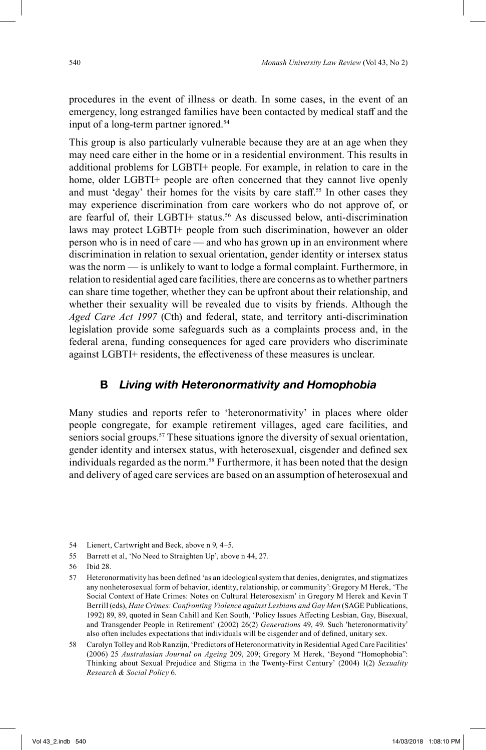procedures in the event of illness or death. In some cases, in the event of an emergency, long estranged families have been contacted by medical staff and the input of a long-term partner ignored. 54

This group is also particularly vulnerable because they are at an age when they may need care either in the home or in a residential environment. This results in additional problems for LGBTI+ people. For example, in relation to care in the home, older LGBTI+ people are often concerned that they cannot live openly and must 'degay' their homes for the visits by care staff. 55 In other cases they may experience discrimination from care workers who do not approve of, or are fearful of, their LGBTI+ status. 56 As discussed below, anti-discrimination laws may protect LGBTI+ people from such discrimination, however an older person who is in need of care — and who has grown up in an environment where discrimination in relation to sexual orientation, gender identity or intersex status was the norm — is unlikely to want to lodge a formal complaint. Furthermore, in relation to residential aged care facilities, there are concerns as to whether partners can share time together, whether they can be upfront about their relationship, and whether their sexuality will be revealed due to visits by friends. Although the *Aged Care Act 1997* (Cth) and federal, state, and territory anti-discrimination legislation provide some safeguards such as a complaints process and, in the federal arena, funding consequences for aged care providers who discriminate against LGBTI+ residents, the effectiveness of these measures is unclear.

### **B** *Living with Heteronormativity and Homophobia*

Many studies and reports refer to 'heteronormativity' in places where older people congregate, for example retirement villages, aged care facilities, and seniors social groups. 57 These situations ignore the diversity of sexual orientation, gender identity and intersex status, with heterosexual, cisgender and defined sex individuals regarded as the norm. 58 Furthermore, it has been noted that the design and delivery of aged care services are based on an assumption of heterosexual and

56 Ibid 28.

<sup>54</sup> Lienert, Cartwright and Beck, above n 9, 4–5.

<sup>55</sup> Barrett et al, 'No Need to Straighten Up', above n 44, 27.

<sup>57</sup> Heteronormativity has been defined 'as an ideological system that denies, denigrates, and stigmatizes any nonheterosexual form of behavior, identity, relationship, or community':Gregory M Herek, 'The Social Context of Hate Crimes: Notes on Cultural Heterosexism' in Gregory M Herek and Kevin T Berrill (eds), *Hate Crimes: Confronting Violence against Lesbians and Gay Men* (SAGE Publications, 1992) 89, 89, quoted in Sean Cahill and Ken South, 'Policy Issues Affecting Lesbian, Gay, Bisexual, and Transgender People in Retirement' (2002) 26(2) *Generations* 49, 49. Such 'heteronormativity' also often includes expectations that individuals will be cisgender and of defined, unitary sex.

<sup>58</sup> Carolyn Tolley and Rob Ranzijn, 'Predictors of Heteronormativity in Residential Aged Care Facilities' (2006) 25 *Australasian Journal on Ageing* 209, 209; Gregory M Herek, 'Beyond "Homophobia": Thinking about Sexual Prejudice and Stigma in the Twenty-First Century' (2004) 1(2) *Sexuality Research & Social Policy* 6.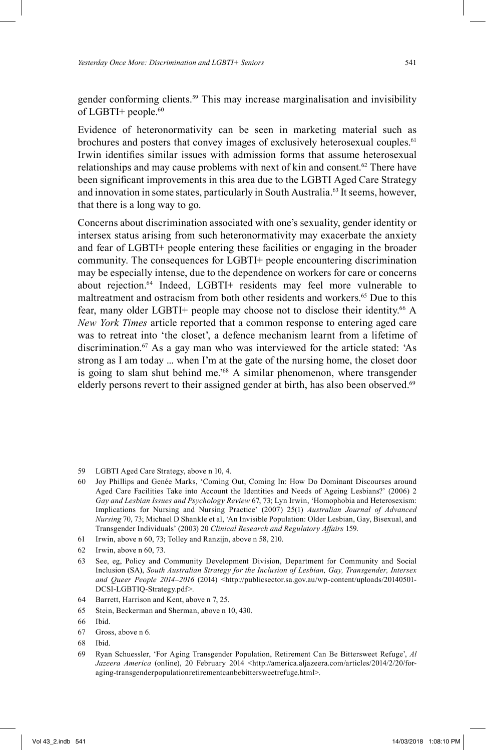gender conforming clients. 59 This may increase marginalisation and invisibility of LGBTI+ people. 60

Evidence of heteronormativity can be seen in marketing material such as brochures and posters that convey images of exclusively heterosexual couples.<sup>61</sup> Irwin identifies similar issues with admission forms that assume heterosexual relationships and may cause problems with next of kin and consent. 62 There have been significant improvements in this area due to the LGBTI Aged Care Strategy and innovation in some states, particularly in South Australia. 63 It seems, however, that there is a long way to go.

Concerns about discrimination associated with one's sexuality, gender identity or intersex status arising from such heteronormativity may exacerbate the anxiety and fear of LGBTI+ people entering these facilities or engaging in the broader community. The consequences for LGBTI+ people encountering discrimination may be especially intense, due to the dependence on workers for care or concerns about rejection. 64 Indeed, LGBTI+ residents may feel more vulnerable to maltreatment and ostracism from both other residents and workers.65 Due to this fear, many older LGBTI+ people may choose not to disclose their identity. 66 A *New York Times* article reported that a common response to entering aged care was to retreat into 'the closet', a defence mechanism learnt from a lifetime of discrimination. 67 As a gay man who was interviewed for the article stated: 'As strong as I am today ... when I'm at the gate of the nursing home, the closet door is going to slam shut behind me.' 68 A similar phenomenon, where transgender elderly persons revert to their assigned gender at birth, has also been observed.<sup>69</sup>

- 59 LGBTI Aged Care Strategy, above n 10, 4.
- 60 Joy Phillips and Genée Marks, 'Coming Out, Coming In: How Do Dominant Discourses around Aged Care Facilities Take into Account the Identities and Needs of Ageing Lesbians?' (2006) 2 *Gay and Lesbian Issues and Psychology Review* 67, 73; Lyn Irwin, 'Homophobia and Heterosexism: Implications for Nursing and Nursing Practice' (2007) 25(1) *Australian Journal of Advanced Nursing* 70, 73; Michael D Shankle et al, 'An Invisible Population: Older Lesbian, Gay, Bisexual, and Transgender Individuals' (2003) 20 *Clinical Research and Regulatory Aff airs* 159.
- 61 Irwin, above n 60, 73; Tolley and Ranzijn, above n 58, 210.
- 62 Irwin, above n 60, 73.
- 63 See, eg, Policy and Community Development Division, Department for Community and Social Inclusion (SA), *South Australian Strategy for the Inclusion of Lesbian, Gay, Transgender, Intersex* and Queer People 2014–2016 (2014) <http://publicsector.sa.gov.au/wp-content/uploads/20140501-DCSI-LGBTIQ-Strategy.pdf>.
- 64 Barrett, Harrison and Kent, above n 7, 25.
- 65 Stein, Beckerman and Sherman, above n 10, 430.

- 67 Gross, above n 6.
- 68 Ibid.
- 69 Ryan Schuessler, 'For Aging Transgender Population, Retirement Can Be Bittersweet Refuge', *Al Jazeera America* (online), 20 February 2014 <http://america.aljazeera.com/articles/2014/2/20/foraging-transgenderpopulationretirementcanbebittersweetrefuge.html>.

<sup>66</sup> Ibid.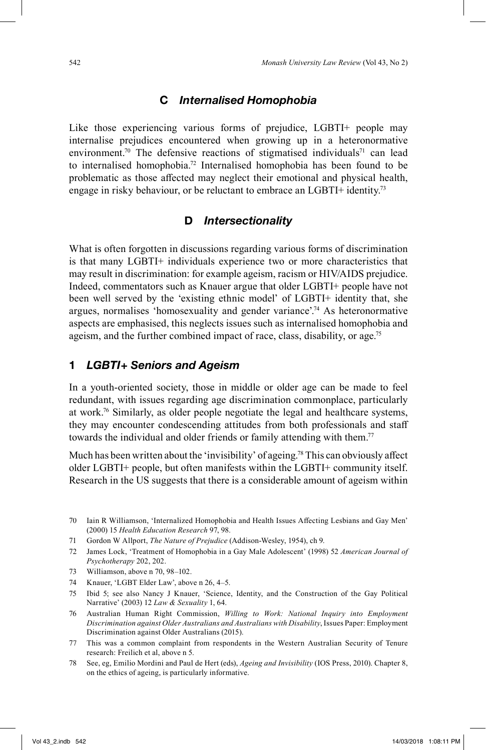### **C** *Internalised Homophobia*

Like those experiencing various forms of prejudice, LGBTI+ people may internalise prejudices encountered when growing up in a heteronormative environment.<sup>70</sup> The defensive reactions of stigmatised individuals<sup>71</sup> can lead to internalised homophobia. 72 Internalised homophobia has been found to be problematic as those affected may neglect their emotional and physical health, engage in risky behaviour, or be reluctant to embrace an LGBTI+ identity.<sup>73</sup>

### **D** *Intersectionality*

What is often forgotten in discussions regarding various forms of discrimination is that many LGBTI+ individuals experience two or more characteristics that may result in discrimination: for example ageism, racism or HIV/AIDS prejudice. Indeed, commentators such as Knauer argue that older LGBTI+ people have not been well served by the 'existing ethnic model' of LGBTI+ identity that, she argues, normalises 'homosexuality and gender variance'. 74 As heteronormative aspects are emphasised, this neglects issues such as internalised homophobia and ageism, and the further combined impact of race, class, disability, or age.<sup>75</sup>

#### **1** *LGBTI+ Seniors and Ageism*

In a youth-oriented society, those in middle or older age can be made to feel redundant, with issues regarding age discrimination commonplace, particularly at work. 76 Similarly, as older people negotiate the legal and healthcare systems, they may encounter condescending attitudes from both professionals and staff towards the individual and older friends or family attending with them.<sup>77</sup>

Much has been written about the 'invisibility' of ageing.<sup>78</sup> This can obviously affect older LGBTI+ people, but often manifests within the LGBTI+ community itself. Research in the US suggests that there is a considerable amount of ageism within

- 71 Gordon W Allport, *The Nature of Prejudice* (Addison-Wesley, 1954), ch 9.
- 72 James Lock, 'Treatment of Homophobia in a Gay Male Adolescent' (1998) 52 *American Journal of Psychotherapy* 202, 202.
- 73 Williamson, above n 70, 98–102.
- 74 Knauer, 'LGBT Elder Law', above n 26, 4–5.
- 75 Ibid 5; see also Nancy J Knauer, 'Science, Identity, and the Construction of the Gay Political Narrative' (2003) 12 *Law & Sexuality* 1, 64.
- 76 Australian Human Right Commission, *Willing to Work: National Inquiry into Employment Discrimination against Older Australians and Australians with Disability*, Issues Paper: Employment Discrimination against Older Australians (2015).
- 77 This was a common complaint from respondents in the Western Australian Security of Tenure research: Freilich et al, above n 5.
- 78 See, eg, Emilio Mordini and Paul de Hert (eds), *Ageing and Invisibility* (IOS Press, 2010). Chapter 8, on the ethics of ageing, is particularly informative.

<sup>70</sup> Iain R Williamson, 'Internalized Homophobia and Health Issues Affecting Lesbians and Gay Men' (2000) 15 *Health Education Research* 97, 98.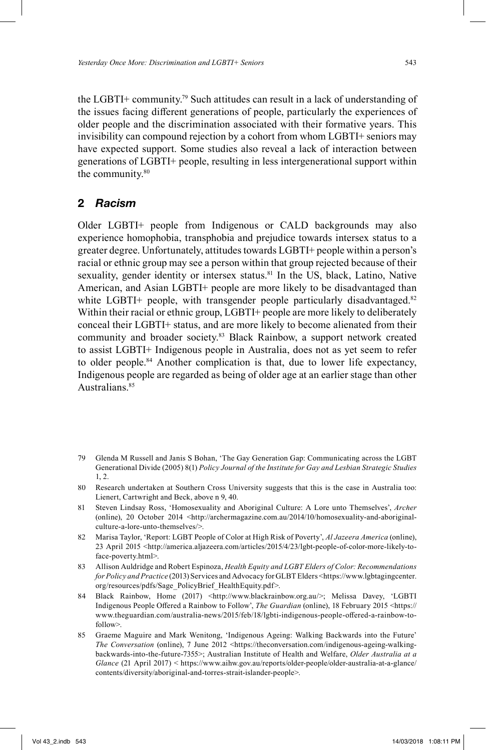the LGBTI+ community. 79 Such attitudes can result in a lack of understanding of the issues facing different generations of people, particularly the experiences of older people and the discrimination associated with their formative years. This invisibility can compound rejection by a cohort from whom LGBTI+ seniors may have expected support. Some studies also reveal a lack of interaction between generations of LGBTI+ people, resulting in less intergenerational support within the community. 80

# **2** *Racism*

Older LGBTI+ people from Indigenous or CALD backgrounds may also experience homophobia, transphobia and prejudice towards intersex status to a greater degree. Unfortunately, attitudes towards LGBTI+ people within a person's racial or ethnic group may see a person within that group rejected because of their sexuality, gender identity or intersex status.<sup>81</sup> In the US, black, Latino, Native American, and Asian LGBTI+ people are more likely to be disadvantaged than white LGBTI+ people, with transgender people particularly disadvantaged.<sup>82</sup> Within their racial or ethnic group, LGBTI+ people are more likely to deliberately conceal their LGBTI+ status, and are more likely to become alienated from their community and broader society. 83 Black Rainbow, a support network created to assist LGBTI+ Indigenous people in Australia, does not as yet seem to refer to older people. 84 Another complication is that, due to lower life expectancy, Indigenous people are regarded as being of older age at an earlier stage than other Australians.<sup>85</sup>

- 79 Glenda M Russell and Janis S Bohan, 'The Gay Generation Gap: Communicating across the LGBT Generational Divide (2005) 8(1) *Policy Journal of the Institute for Gay and Lesbian Strategic Studies* 1, 2.
- 80 Research undertaken at Southern Cross University suggests that this is the case in Australia too: Lienert, Cartwright and Beck, above n 9, 40.
- 81 Steven Lindsay Ross, 'Homosexuality and Aboriginal Culture: A Lore unto Themselves', *Archer* (online), 20 October 2014 <http://archermagazine.com.au/2014/10/homosexuality-and-aboriginalculture-a-lore-unto-themselves/>.
- 82 Marisa Taylor, 'Report: LGBT People of Color at High Risk of Poverty', *Al Jazeera America* (online), 23 April 2015 <http://america.aljazeera.com/articles/2015/4/23/lgbt-people-of-color-more-likely-toface-poverty.html>.
- 83 Allison Auldridge and Robert Espinoza, *Health Equity and LGBT Elders of Color: Recommendations for Policy and Practice* (2013) Services and Advocacy for GLBT Elders <https://www.lgbtagingcenter. org/resources/pdfs/Sage\_PolicyBrief\_HealthEquity.pdf>.
- 84 Black Rainbow, Home (2017) <http://www.blackrainbow.org.au/>; Melissa Davey, 'LGBTI Indigenous People Offered a Rainbow to Follow', *The Guardian* (online), 18 February 2015 <https:// www.theguardian.com/australia-news/2015/feb/18/lgbti-indigenous-people-off ered-a-rainbow-tofollow>.
- 85 Graeme Maguire and Mark Wenitong, 'Indigenous Ageing: Walking Backwards into the Future' *The Conversation* (online), 7 June 2012 <https://theconversation.com/indigenous-ageing-walkingbackwards-into-the-future-7355>; Australian Institute of Health and Welfare, *Older Australia at a Glance* (21 April 2017) < https://www.aihw.gov.au/reports/older-people/older-australia-at-a-glance/ contents/diversity/aboriginal-and-torres-strait-islander-people>.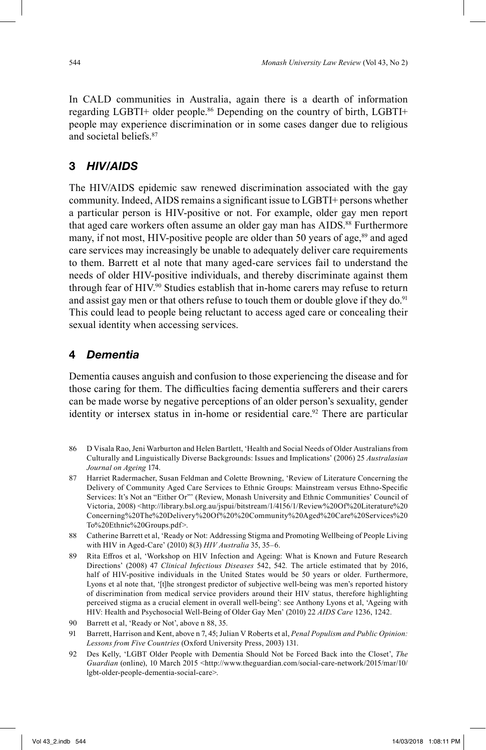In CALD communities in Australia, again there is a dearth of information regarding LGBTI+ older people. 86 Depending on the country of birth, LGBTI+ people may experience discrimination or in some cases danger due to religious and societal beliefs.87

# **3** *HIV/AIDS*

The HIV/AIDS epidemic saw renewed discrimination associated with the gay community. Indeed, AIDS remains a significant issue to LGBTI+ persons whether a particular person is HIV-positive or not. For example, older gay men report that aged care workers often assume an older gay man has AIDS. 88 Furthermore many, if not most, HIV-positive people are older than 50 years of age,<sup>89</sup> and aged care services may increasingly be unable to adequately deliver care requirements to them. Barrett et al note that many aged-care services fail to understand the needs of older HIV-positive individuals, and thereby discriminate against them through fear of HIV. 90 Studies establish that in-home carers may refuse to return and assist gay men or that others refuse to touch them or double glove if they do.<sup>91</sup> This could lead to people being reluctant to access aged care or concealing their sexual identity when accessing services.

#### **4** *Dementia*

Dementia causes anguish and confusion to those experiencing the disease and for those caring for them. The difficulties facing dementia sufferers and their carers can be made worse by negative perceptions of an older person's sexuality, gender identity or intersex status in in-home or residential care. 92 There are particular

- 86 D Visala Rao, Jeni Warburton and Helen Bartlett, 'Health and Social Needs of Older Australians from Culturally and Linguistically Diverse Backgrounds: Issues and Implications' (2006) 25 *Australasian Journal on Ageing* 174.
- 87 Harriet Radermacher, Susan Feldman and Colette Browning, 'Review of Literature Concerning the Delivery of Community Aged Care Services to Ethnic Groups: Mainstream versus Ethno-Specific Services: It's Not an "Either Or"' (Review, Monash University and Ethnic Communities' Council of Victoria, 2008) <http://library.bsl.org.au/jspui/bitstream/1/4156/1/Review%20Of%20Literature%20 Concerning%20The%20Delivery%20Of%20%20Community%20Aged%20Care%20Services%20 To%20Ethnic%20Groups.pdf>.
- 88 Catherine Barrett et al, 'Ready or Not: Addressing Stigma and Promoting Wellbeing of People Living with HIV in Aged-Care' (2010) 8(3) *HIV Australia* 35, 35–6.
- 89 Rita Effros et al, 'Workshop on HIV Infection and Ageing: What is Known and Future Research Directions' (2008) 47 *Clinical Infectious Diseases* 542, 542*.* The article estimated that by 2016, half of HIV-positive individuals in the United States would be 50 years or older. Furthermore, Lyons et al note that, '[t]he strongest predictor of subjective well-being was men's reported history of discrimination from medical service providers around their HIV status, therefore highlighting perceived stigma as a crucial element in overall well-being': see Anthony Lyons et al, 'Ageing with HIV: Health and Psychosocial Well-Being of Older Gay Men' (2010) 22 *AIDS Care* 1236, 1242.
- 90 Barrett et al, 'Ready or Not', above n 88, 35.
- 91 Barrett, Harrison and Kent, above n 7, 45; Julian V Roberts et al, *Penal Populism and Public Opinion: Lessons from Five Countries* (Oxford University Press, 2003) 131.
- 92 Des Kelly, 'LGBT Older People with Dementia Should Not be Forced Back into the Closet', *The* Guardian (online), 10 March 2015 <http://www.theguardian.com/social-care-network/2015/mar/10/ lgbt-older-people-dementia-social-care>.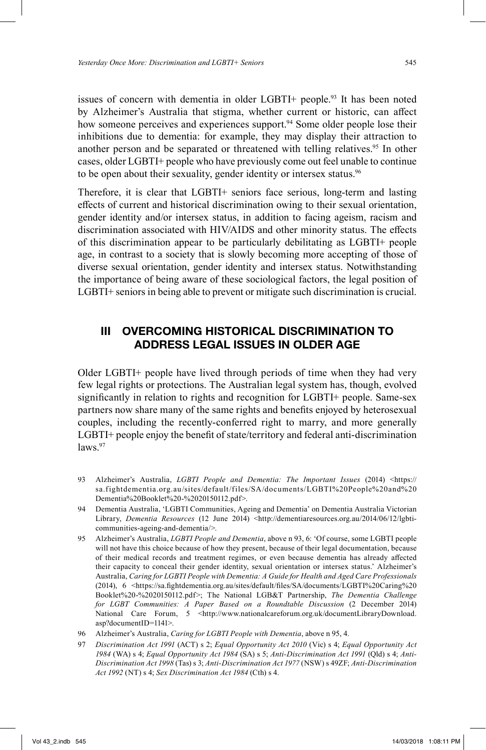issues of concern with dementia in older LGBTI+ people. 93 It has been noted by Alzheimer's Australia that stigma, whether current or historic, can affect how someone perceives and experiences support.<sup>94</sup> Some older people lose their inhibitions due to dementia: for example, they may display their attraction to another person and be separated or threatened with telling relatives. 95 In other cases, older LGBTI+ people who have previously come out feel unable to continue to be open about their sexuality, gender identity or intersex status.<sup>96</sup>

Therefore, it is clear that LGBTI+ seniors face serious, long-term and lasting effects of current and historical discrimination owing to their sexual orientation, gender identity and/or intersex status, in addition to facing ageism, racism and discrimination associated with HIV/AIDS and other minority status. The effects of this discrimination appear to be particularly debilitating as LGBTI+ people age, in contrast to a society that is slowly becoming more accepting of those of diverse sexual orientation, gender identity and intersex status. Notwithstanding the importance of being aware of these sociological factors, the legal position of LGBTI+ seniors in being able to prevent or mitigate such discrimination is crucial.

# **III OVERCOMING HISTORICAL DISCRIMINATION TO ADDRESS LEGAL ISSUES IN OLDER AGE**

Older LGBTI+ people have lived through periods of time when they had very few legal rights or protections. The Australian legal system has, though, evolved significantly in relation to rights and recognition for LGBTI+ people. Same-sex partners now share many of the same rights and benefits enjoyed by heterosexual couples, including the recently-conferred right to marry, and more generally LGBTI+ people enjoy the benefit of state/territory and federal anti-discrimination  $laws.<sup>97</sup>$ 

- 93 Alzheimer's Australia, *LGBTI People and Dementia: The Important Issues* (2014) <https:// sa.fightdementia.org.au/sites/default/files/SA/documents/LGBTI%20People%20and%20 Dementia%20Booklet%20-%2020150112.pdf>.
- 94 Dementia Australia, 'LGBTI Communities, Ageing and Dementia' on Dementia Australia Victorian Library, *Dementia Resources* (12 June 2014) <http://dementiaresources.org.au/2014/06/12/lgbticommunities-ageing-and-dementia/>.
- 95 Alzheimer's Australia, *LGBTI People and Dementia*, above n 93, 6: 'Of course, some LGBTI people will not have this choice because of how they present, because of their legal documentation, because of their medical records and treatment regimes, or even because dementia has already affected their capacity to conceal their gender identity, sexual orientation or intersex status.' Alzheimer's Australia, *Caring for LGBTI People with Dementia: A Guide for Health and Aged Care Professionals* (2014), 6 <https://sa.fi ghtdementia.org.au/sites/default/fi les/SA/documents/LGBTI%20Caring%20 Booklet%20-%2020150112.pdf>; The National LGB&T Partnership, *The Dementia Challenge for LGBT Communities: A Paper Based on a Roundtable Discussion* (2 December 2014) National Care Forum, 5 <http://www.nationalcareforum.org.uk/documentLibraryDownload. asp?documentID=1141>.
- 96 Alzheimer's Australia, *Caring for LGBTI People with Dementia*, above n 95, 4.
- 97 *Discrimination Act 1991* (ACT) s 2; *Equal Opportunity Act 2010* (Vic) s 4; *Equal Opportunity Act 1984* (WA) s 4; *Equal Opportunity Act 1984* (SA) s 5; *Anti-Discrimination Act 1991* (Qld) s 4; *Anti-Discrimination Act 1998* (Tas) s 3; *Anti-Discrimination Act 1977* (NSW) s 49ZF; *Anti-Discrimination Act 1992* (NT) s 4; *Sex Discrimination Act 1984* (Cth) s 4.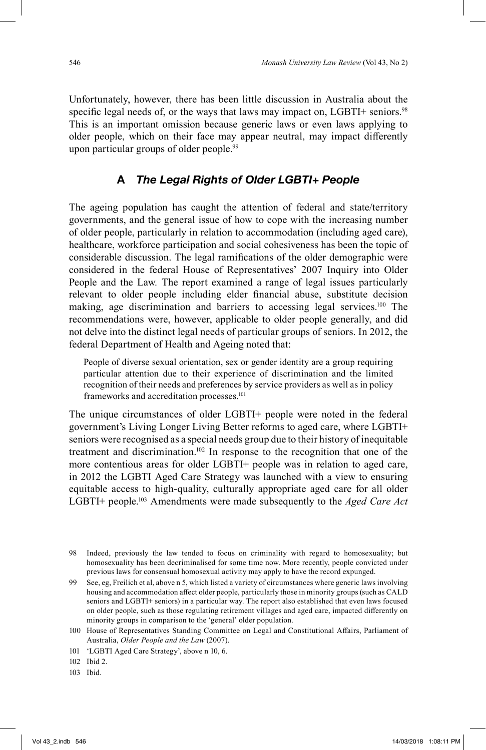Unfortunately, however, there has been little discussion in Australia about the specific legal needs of, or the ways that laws may impact on, LGBTI+ seniors.<sup>98</sup> This is an important omission because generic laws or even laws applying to older people, which on their face may appear neutral, may impact differently upon particular groups of older people.<sup>99</sup>

# **A** *The Legal Rights of Older LGBTI+ People*

The ageing population has caught the attention of federal and state/territory governments, and the general issue of how to cope with the increasing number of older people, particularly in relation to accommodation (including aged care), healthcare, workforce participation and social cohesiveness has been the topic of considerable discussion. The legal ramifications of the older demographic were considered in the federal House of Representatives' 2007 Inquiry into Older People and the Law*.* The report examined a range of legal issues particularly relevant to older people including elder financial abuse, substitute decision making, age discrimination and barriers to accessing legal services. 100 The recommendations were, however, applicable to older people generally, and did not delve into the distinct legal needs of particular groups of seniors. In 2012, the federal Department of Health and Ageing noted that:

People of diverse sexual orientation, sex or gender identity are a group requiring particular attention due to their experience of discrimination and the limited recognition of their needs and preferences by service providers as well as in policy frameworks and accreditation processes. 101

The unique circumstances of older LGBTI+ people were noted in the federal government's Living Longer Living Better reforms to aged care, where LGBTI+ seniors were recognised as a special needs group due to their history of inequitable treatment and discrimination. 102 In response to the recognition that one of the more contentious areas for older LGBTI+ people was in relation to aged care, in 2012 the LGBTI Aged Care Strategy was launched with a view to ensuring equitable access to high-quality, culturally appropriate aged care for all older LGBTI+ people. 103 Amendments were made subsequently to the *Aged Care Act*

101 'LGBTI Aged Care Strategy', above n 10, 6.

103 Ibid.

<sup>98</sup> Indeed, previously the law tended to focus on criminality with regard to homosexuality; but homosexuality has been decriminalised for some time now. More recently, people convicted under previous laws for consensual homosexual activity may apply to have the record expunged.

<sup>99</sup> See, eg, Freilich et al, above n 5, which listed a variety of circumstances where generic laws involving housing and accommodation affect older people, particularly those in minority groups (such as CALD seniors and LGBTI+ seniors) in a particular way. The report also established that even laws focused on older people, such as those regulating retirement villages and aged care, impacted differently on minority groups in comparison to the 'general' older population.

<sup>100</sup> House of Representatives Standing Committee on Legal and Constitutional Affairs, Parliament of Australia, *Older People and the Law* (2007).

<sup>102</sup> Ibid 2.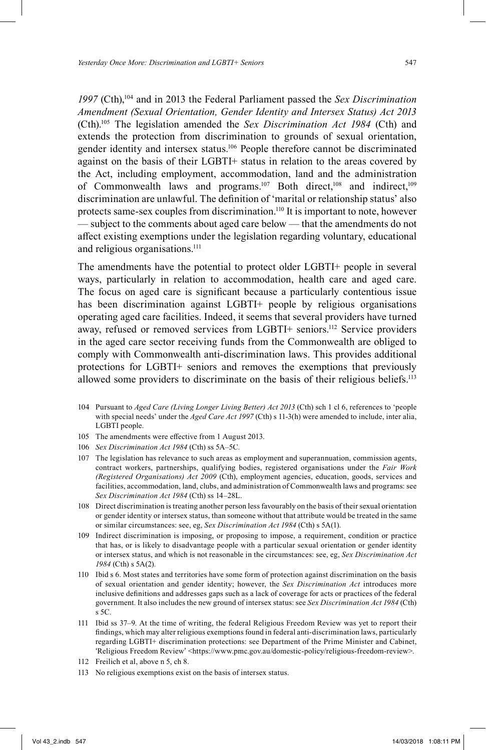*1997* (Cth),104 and in 2013 the Federal Parliament passed the *Sex Discrimination Amendment (Sexual Orientation, Gender Identity and Intersex Status) Act 2013* (Cth).105 The legislation amended the *Sex Discrimination Act 1984* (Cth) and extends the protection from discrimination to grounds of sexual orientation, gender identity and intersex status. 106 People therefore cannot be discriminated against on the basis of their LGBTI+ status in relation to the areas covered by the Act, including employment, accommodation, land and the administration of Commonwealth laws and programs.<sup>107</sup> Both direct,<sup>108</sup> and indirect,<sup>109</sup> discrimination are unlawful. The definition of 'marital or relationship status' also protects same-sex couples from discrimination.<sup>110</sup> It is important to note, however — subject to the comments about aged care below — that the amendments do not affect existing exemptions under the legislation regarding voluntary, educational and religious organisations. 111

The amendments have the potential to protect older LGBTI+ people in several ways, particularly in relation to accommodation, health care and aged care. The focus on aged care is significant because a particularly contentious issue has been discrimination against LGBTI+ people by religious organisations operating aged care facilities. Indeed, it seems that several providers have turned away, refused or removed services from LGBTI+ seniors. 112 Service providers in the aged care sector receiving funds from the Commonwealth are obliged to comply with Commonwealth anti-discrimination laws. This provides additional protections for LGBTI+ seniors and removes the exemptions that previously allowed some providers to discriminate on the basis of their religious beliefs. 113

- 104 Pursuant to *Aged Care (Living Longer Living Better) Act 2013* (Cth) sch 1 cl 6, references to 'people with special needs' under the *Aged Care Act 1997* (Cth) s 11-3(h) were amended to include, inter alia, LGBTI people.
- 105 The amendments were effective from 1 August 2013.
- 106 *Sex Discrimination Act 1984* (Cth) ss 5A–5C.
- 107 The legislation has relevance to such areas as employment and superannuation, commission agents, contract workers, partnerships, qualifying bodies, registered organisations under the *Fair Work (Registered Organisations) Act 2009* (Cth), employment agencies, education, goods, services and facilities, accommodation, land, clubs, and administration of Commonwealth laws and programs: see *Sex Discrimination Act 1984* (Cth) ss 14–28L.
- 108 Direct discrimination is treating another person less favourably on the basis of their sexual orientation or gender identity or intersex status, than someone without that attribute would be treated in the same or similar circumstances: see, eg, *Sex Discrimination Act 1984* (Cth) s 5A(1).
- 109 Indirect discrimination is imposing, or proposing to impose, a requirement, condition or practice that has, or is likely to disadvantage people with a particular sexual orientation or gender identity or intersex status, and which is not reasonable in the circumstances: see, eg, *Sex Discrimination Act 1984* (Cth) s 5A(2).
- 110 Ibid s 6. Most states and territories have some form of protection against discrimination on the basis of sexual orientation and gender identity; however, the *Sex Discrimination Act* introduces more inclusive definitions and addresses gaps such as a lack of coverage for acts or practices of the federal government. It also includes the new ground of intersex status: see *Sex Discrimination Act 1984* (Cth) s 5C.
- 111 Ibid ss 37–9. At the time of writing, the federal Religious Freedom Review was yet to report their findings, which may alter religious exemptions found in federal anti-discrimination laws, particularly regarding LGBTI+ discrimination protections: see Department of the Prime Minister and Cabinet, 'Religious Freedom Review' <https://www.pmc.gov.au/domestic-policy/religious-freedom-review>.
- 112 Freilich et al, above n 5, ch 8.
- 113 No religious exemptions exist on the basis of intersex status.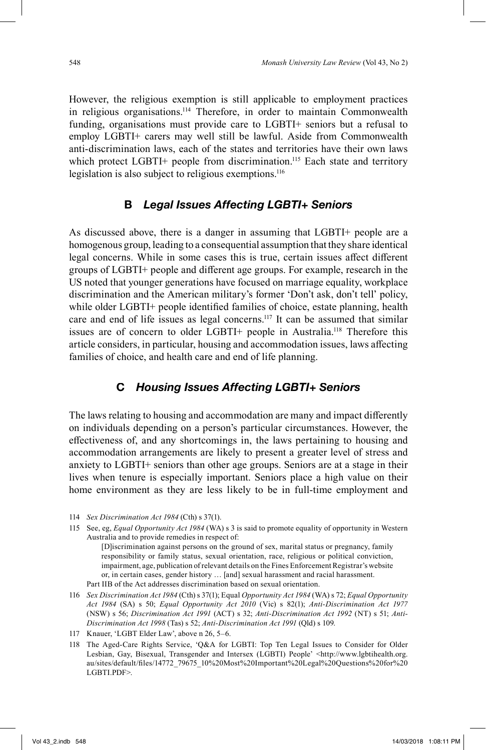However, the religious exemption is still applicable to employment practices in religious organisations. 114 Therefore, in order to maintain Commonwealth funding, organisations must provide care to LGBTI+ seniors but a refusal to employ LGBTI+ carers may well still be lawful. Aside from Commonwealth anti-discrimination laws, each of the states and territories have their own laws which protect LGBTI+ people from discrimination.<sup>115</sup> Each state and territory legislation is also subject to religious exemptions.<sup>116</sup>

### **B** *Legal Issues Affecting LGBTI+ Seniors*

As discussed above, there is a danger in assuming that LGBTI+ people are a homogenous group, leading to a consequential assumption that they share identical legal concerns. While in some cases this is true, certain issues affect different groups of LGBTI+ people and different age groups. For example, research in the US noted that younger generations have focused on marriage equality, workplace discrimination and the American military's former 'Don't ask, don't tell' policy, while older  $LGBTI+$  people identified families of choice, estate planning, health care and end of life issues as legal concerns. 117 It can be assumed that similar issues are of concern to older LGBTI+ people in Australia.<sup>118</sup> Therefore this article considers, in particular, housing and accommodation issues, laws affecting families of choice, and health care and end of life planning.

# **C** *Housing Issues Affecting LGBTI+ Seniors*

The laws relating to housing and accommodation are many and impact differently on individuals depending on a person's particular circumstances. However, the effectiveness of, and any shortcomings in, the laws pertaining to housing and accommodation arrangements are likely to present a greater level of stress and anxiety to LGBTI+ seniors than other age groups. Seniors are at a stage in their lives when tenure is especially important. Seniors place a high value on their home environment as they are less likely to be in full-time employment and

115 See, eg, *Equal Opportunity Act 1984* (WA) s 3 is said to promote equality of opportunity in Western Australia and to provide remedies in respect of:

[D]iscrimination against persons on the ground of sex, marital status or pregnancy, family responsibility or family status, sexual orientation, race, religious or political conviction, impairment, age, publication of relevant details on the Fines Enforcement Registrar's website or, in certain cases, gender history … [and] sexual harassment and racial harassment. Part IIB of the Act addresses discrimination based on sexual orientation.

- 116 *Sex Discrimination Act 1984* (Cth) s 37(1); Equal *Opportunity Act 1984* (WA) s 72; *Equal Opportunity Act 1984* (SA) s 50; *Equal Opportunity Act 2010* (Vic) s 82(1); *Anti-Discrimination Act 1977* (NSW) s 56; *Discrimination Act 1991* (ACT) s 32; *Anti-Discrimination Act 1992* (NT) s 51; *Anti-Discrimination Act 1998* (Tas) s 52; *Anti-Discrimination Act 1991* (Qld) s 109.
- 117 Knauer, 'LGBT Elder Law', above n 26, 5–6.
- 118 The Aged-Care Rights Service, 'Q&A for LGBTI: Top Ten Legal Issues to Consider for Older Lesbian, Gay, Bisexual, Transgender and Intersex (LGBTI) People' <http://www.lgbtihealth.org. au/sites/default/fi les/14772\_79675\_10%20Most%20Important%20Legal%20Questions%20for%20 LGBTI.PDF>.

<sup>114</sup> *Sex Discrimination Act 1984* (Cth) s 37(1).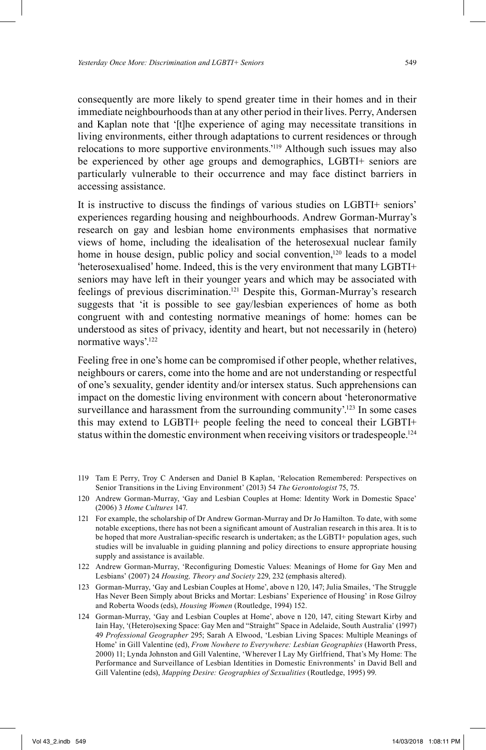consequently are more likely to spend greater time in their homes and in their immediate neighbourhoods than at any other period in their lives. Perry, Andersen and Kaplan note that '[t]he experience of aging may necessitate transitions in living environments, either through adaptations to current residences or through relocations to more supportive environments.<sup>2119</sup> Although such issues may also be experienced by other age groups and demographics, LGBTI+ seniors are particularly vulnerable to their occurrence and may face distinct barriers in accessing assistance.

It is instructive to discuss the findings of various studies on LGBTI+ seniors' experiences regarding housing and neighbourhoods. Andrew Gorman-Murray's research on gay and lesbian home environments emphasises that normative views of home, including the idealisation of the heterosexual nuclear family home in house design, public policy and social convention,<sup>120</sup> leads to a model 'heterosexualised' home. Indeed, this is the very environment that many LGBTI+ seniors may have left in their younger years and which may be associated with feelings of previous discrimination.<sup>121</sup> Despite this, Gorman-Murray's research suggests that 'it is possible to see gay/lesbian experiences of home as both congruent with and contesting normative meanings of home: homes can be understood as sites of privacy, identity and heart, but not necessarily in (hetero) normative ways'.<sup>122</sup>

Feeling free in one's home can be compromised if other people, whether relatives, neighbours or carers, come into the home and are not understanding or respectful of one's sexuality, gender identity and/or intersex status. Such apprehensions can impact on the domestic living environment with concern about 'heteronormative surveillance and harassment from the surrounding community'.<sup>123</sup> In some cases this may extend to LGBTI+ people feeling the need to conceal their LGBTI+ status within the domestic environment when receiving visitors or tradespeople.<sup>124</sup>

- 119 Tam E Perry, Troy C Andersen and Daniel B Kaplan, 'Relocation Remembered: Perspectives on Senior Transitions in the Living Environment' (2013) 54 *The Gerontologist* 75, 75.
- 120 Andrew Gorman-Murray, 'Gay and Lesbian Couples at Home: Identity Work in Domestic Space' (2006) 3 *Home Cultures* 147.
- 121 For example, the scholarship of Dr Andrew Gorman-Murray and Dr Jo Hamilton. To date, with some notable exceptions, there has not been a significant amount of Australian research in this area. It is to be hoped that more Australian-specific research is undertaken; as the LGBTI+ population ages, such studies will be invaluable in guiding planning and policy directions to ensure appropriate housing supply and assistance is available.
- 122 Andrew Gorman-Murray, 'Reconfiguring Domestic Values: Meanings of Home for Gay Men and Lesbians' (2007) 24 *Housing, Theory and Society* 229, 232 (emphasis altered).
- 123 Gorman-Murray, 'Gay and Lesbian Couples at Home', above n 120, 147; Julia Smailes, 'The Struggle Has Never Been Simply about Bricks and Mortar: Lesbians' Experience of Housing' in Rose Gilroy and Roberta Woods (eds), *Housing Women* (Routledge, 1994) 152.
- 124 Gorman-Murray, 'Gay and Lesbian Couples at Home', above n 120, 147, citing Stewart Kirby and Iain Hay, '(Hetero)sexing Space: Gay Men and "Straight" Space in Adelaide, South Australia' (1997) 49 *Professional Geographer* 295; Sarah A Elwood, 'Lesbian Living Spaces: Multiple Meanings of Home' in Gill Valentine (ed), *From Nowhere to Everywhere: Lesbian Geographies* (Haworth Press, 2000) 11; Lynda Johnston and Gill Valentine, 'Wherever I Lay My Girlfriend, That's My Home: The Performance and Surveillance of Lesbian Identities in Domestic Enivronments' in David Bell and Gill Valentine (eds), *Mapping Desire: Geographies of Sexualities* (Routledge, 1995) 99.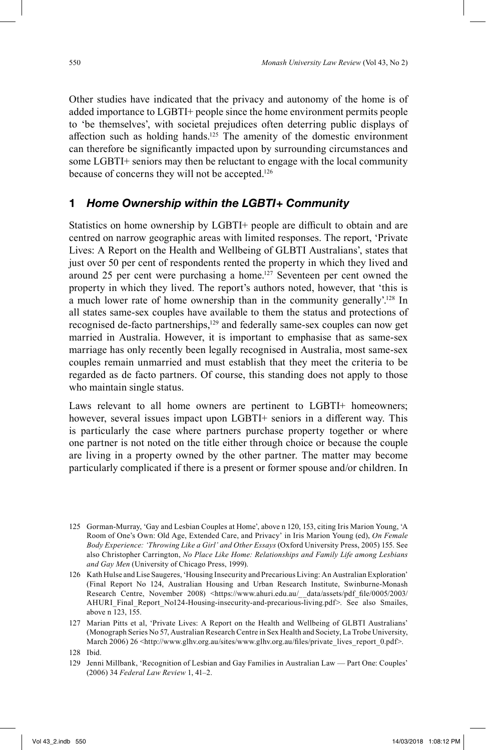Other studies have indicated that the privacy and autonomy of the home is of added importance to LGBTI+ people since the home environment permits people to 'be themselves', with societal prejudices often deterring public displays of affection such as holding hands.<sup>125</sup> The amenity of the domestic environment can therefore be significantly impacted upon by surrounding circumstances and some LGBTI+ seniors may then be reluctant to engage with the local community because of concerns they will not be accepted.<sup>126</sup>

#### **1** *Home Ownership within the LGBTI+ Community*

Statistics on home ownership by LGBTI+ people are difficult to obtain and are centred on narrow geographic areas with limited responses. The report, 'Private Lives: A Report on the Health and Wellbeing of GLBTI Australians', states that just over 50 per cent of respondents rented the property in which they lived and around 25 per cent were purchasing a home. 127 Seventeen per cent owned the property in which they lived. The report's authors noted, however, that 'this is a much lower rate of home ownership than in the community generally'.<sup>128</sup> In all states same-sex couples have available to them the status and protections of recognised de-facto partnerships,<sup>129</sup> and federally same-sex couples can now get married in Australia. However, it is important to emphasise that as same-sex marriage has only recently been legally recognised in Australia, most same-sex couples remain unmarried and must establish that they meet the criteria to be regarded as de facto partners. Of course, this standing does not apply to those who maintain single status.

Laws relevant to all home owners are pertinent to LGBTI+ homeowners; however, several issues impact upon LGBTI+ seniors in a different way. This is particularly the case where partners purchase property together or where one partner is not noted on the title either through choice or because the couple are living in a property owned by the other partner. The matter may become particularly complicated if there is a present or former spouse and/or children. In

<sup>125</sup> Gorman-Murray, 'Gay and Lesbian Couples at Home', above n 120, 153, citing Iris Marion Young, 'A Room of One's Own: Old Age, Extended Care, and Privacy' in Iris Marion Young (ed), *On Female Body Experience: 'Throwing Like a Girl' and Other Essays* (Oxford University Press, 2005) 155. See also Christopher Carrington, *No Place Like Home: Relationships and Family Life among Lesbians and Gay Men* (University of Chicago Press, 1999).

<sup>126</sup> Kath Hulse and Lise Saugeres, 'Housing Insecurity and Precarious Living: An Australian Exploration' (Final Report No 124, Australian Housing and Urban Research Institute, Swinburne-Monash Research Centre, November 2008) <https://www.ahuri.edu.au/\_data/assets/pdf\_file/0005/2003/ AHURI\_Final\_Report\_No124-Housing-insecurity-and-precarious-living.pdf>. See also Smailes, above n 123, 155.

<sup>127</sup> Marian Pitts et al, 'Private Lives: A Report on the Health and Wellbeing of GLBTI Australians' (Monograph Series No 57, Australian Research Centre in Sex Health and Society, La Trobe University, March 2006) 26 <http://www.glhv.org.au/sites/www.glhv.org.au/files/private\_lives\_report\_0.pdf>.

<sup>128</sup> Ibid.

<sup>129</sup> Jenni Millbank, 'Recognition of Lesbian and Gay Families in Australian Law — Part One: Couples' (2006) 34 *Federal Law Review* 1, 41–2.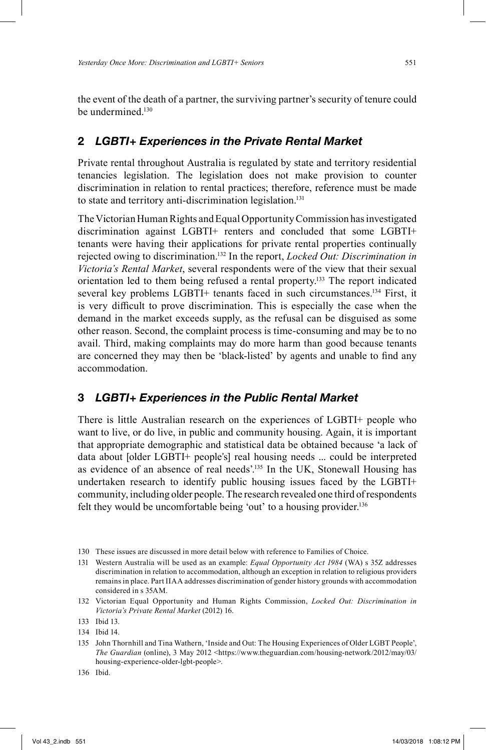the event of the death of a partner, the surviving partner's security of tenure could be undermined.<sup>130</sup>

#### **2** *LGBTI+ Experiences in the Private Rental Market*

Private rental throughout Australia is regulated by state and territory residential tenancies legislation. The legislation does not make provision to counter discrimination in relation to rental practices; therefore, reference must be made to state and territory anti-discrimination legislation. 131

The Victorian Human Rights and Equal Opportunity Commission has investigated discrimination against LGBTI+ renters and concluded that some LGBTI+ tenants were having their applications for private rental properties continually rejected owing to discrimination. 132 In the report, *Locked Out: Discrimination in Victoria's Rental Market*, several respondents were of the view that their sexual orientation led to them being refused a rental property. 133 The report indicated several key problems LGBTI+ tenants faced in such circumstances. 134 First, it is very difficult to prove discrimination. This is especially the case when the demand in the market exceeds supply, as the refusal can be disguised as some other reason. Second, the complaint process is time-consuming and may be to no avail. Third, making complaints may do more harm than good because tenants are concerned they may then be 'black-listed' by agents and unable to find any accommodation.

### **3** *LGBTI+ Experiences in the Public Rental Market*

There is little Australian research on the experiences of LGBTI+ people who want to live, or do live, in public and community housing. Again, it is important that appropriate demographic and statistical data be obtained because 'a lack of data about [older LGBTI+ people's] real housing needs ... could be interpreted as evidence of an absence of real needs'. 135 In the UK, Stonewall Housing has undertaken research to identify public housing issues faced by the LGBTI+ community, including older people. The research revealed one third of respondents felt they would be uncomfortable being 'out' to a housing provider.<sup>136</sup>

<sup>130</sup> These issues are discussed in more detail below with reference to Families of Choice.

<sup>131</sup> Western Australia will be used as an example: *Equal Opportunity Act 1984* (WA) s 35Z addresses discrimination in relation to accommodation, although an exception in relation to religious providers remains in place. Part IIAA addresses discrimination of gender history grounds with accommodation considered in s 35AM.

<sup>132</sup> Victorian Equal Opportunity and Human Rights Commission, *Locked Out: Discrimination in Victoria's Private Rental Market* (2012) 16.

<sup>133</sup> Ibid 13.

<sup>134</sup> Ibid 14.

<sup>135</sup> John Thornhill and Tina Wathern, 'Inside and Out: The Housing Experiences of Older LGBT People', *The Guardian* (online), 3 May 2012 <https://www.theguardian.com/housing-network/2012/may/03/ housing-experience-older-lgbt-people>.

<sup>136</sup> Ibid.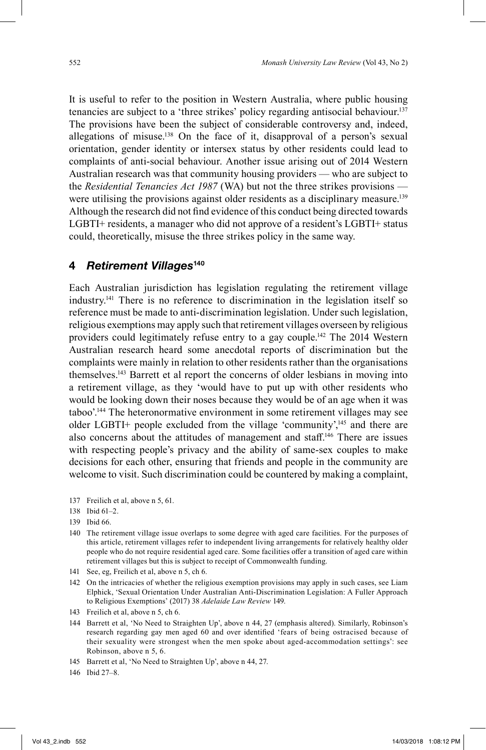It is useful to refer to the position in Western Australia, where public housing tenancies are subject to a 'three strikes' policy regarding antisocial behaviour. 137 The provisions have been the subject of considerable controversy and, indeed, allegations of misuse. 138 On the face of it, disapproval of a person's sexual orientation, gender identity or intersex status by other residents could lead to complaints of anti-social behaviour. Another issue arising out of 2014 Western Australian research was that community housing providers — who are subject to the *Residential Tenancies Act 1987* (WA) but not the three strikes provisions were utilising the provisions against older residents as a disciplinary measure.<sup>139</sup> Although the research did not find evidence of this conduct being directed towards LGBTI+ residents, a manager who did not approve of a resident's LGBTI+ status could, theoretically, misuse the three strikes policy in the same way.

#### **4** *Retirement Villages***<sup>140</sup>**

Each Australian jurisdiction has legislation regulating the retirement village industry. 141 There is no reference to discrimination in the legislation itself so reference must be made to anti-discrimination legislation. Under such legislation, religious exemptions may apply such that retirement villages overseen by religious providers could legitimately refuse entry to a gay couple.<sup>142</sup> The 2014 Western Australian research heard some anecdotal reports of discrimination but the complaints were mainly in relation to other residents rather than the organisations themselves.143 Barrett et al report the concerns of older lesbians in moving into a retirement village, as they 'would have to put up with other residents who would be looking down their noses because they would be of an age when it was taboo'. 144 The heteronormative environment in some retirement villages may see older LGBTI+ people excluded from the village 'community',<sup>145</sup> and there are also concerns about the attitudes of management and staff.<sup>146</sup> There are issues with respecting people's privacy and the ability of same-sex couples to make decisions for each other, ensuring that friends and people in the community are welcome to visit. Such discrimination could be countered by making a complaint,

- 137 Freilich et al, above n 5, 61.
- 138 Ibid 61–2.
- 139 Ibid 66.
- 140 The retirement village issue overlaps to some degree with aged care facilities. For the purposes of this article, retirement villages refer to independent living arrangements for relatively healthy older people who do not require residential aged care. Some facilities offer a transition of aged care within retirement villages but this is subject to receipt of Commonwealth funding.
- 141 See, eg, Freilich et al, above n 5, ch 6.
- 142 On the intricacies of whether the religious exemption provisions may apply in such cases, see Liam Elphick, 'Sexual Orientation Under Australian Anti-Discrimination Legislation: A Fuller Approach to Religious Exemptions' (2017) 38 *Adelaide Law Review* 149.
- 143 Freilich et al, above n 5, ch 6.
- 144 Barrett et al, 'No Need to Straighten Up', above n 44, 27 (emphasis altered). Similarly, Robinson's research regarding gay men aged 60 and over identified 'fears of being ostracised because of their sexuality were strongest when the men spoke about aged-accommodation settings': see Robinson, above n 5, 6.
- 145 Barrett et al, 'No Need to Straighten Up', above n 44, 27.
- 146 Ibid 27–8.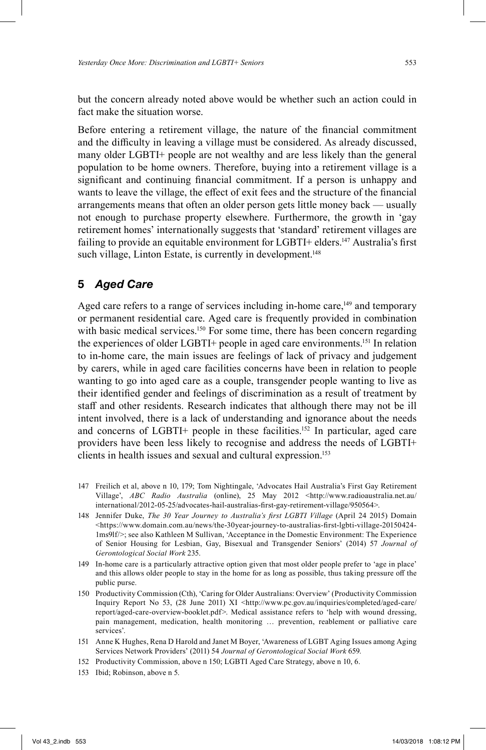but the concern already noted above would be whether such an action could in fact make the situation worse.

Before entering a retirement village, the nature of the financial commitment and the difficulty in leaving a village must be considered. As already discussed, many older LGBTI+ people are not wealthy and are less likely than the general population to be home owners. Therefore, buying into a retirement village is a significant and continuing financial commitment. If a person is unhappy and wants to leave the village, the effect of exit fees and the structure of the financial arrangements means that often an older person gets little money back — usually not enough to purchase property elsewhere. Furthermore, the growth in 'gay retirement homes' internationally suggests that 'standard' retirement villages are failing to provide an equitable environment for LGBTI+ elders.<sup>147</sup> Australia's first such village, Linton Estate, is currently in development.<sup>148</sup>

# **5** *Aged Care*

Aged care refers to a range of services including in-home care,<sup>149</sup> and temporary or permanent residential care. Aged care is frequently provided in combination with basic medical services.<sup>150</sup> For some time, there has been concern regarding the experiences of older LGBTI+ people in aged care environments. 151 In relation to in-home care, the main issues are feelings of lack of privacy and judgement by carers, while in aged care facilities concerns have been in relation to people wanting to go into aged care as a couple, transgender people wanting to live as their identified gender and feelings of discrimination as a result of treatment by staff and other residents. Research indicates that although there may not be ill intent involved, there is a lack of understanding and ignorance about the needs and concerns of LGBTI+ people in these facilities. 152 In particular, aged care providers have been less likely to recognise and address the needs of LGBTI+ clients in health issues and sexual and cultural expression. 153

- 147 Freilich et al, above n 10, 179; Tom Nightingale, 'Advocates Hail Australia's First Gay Retirement Village', *ABC Radio Australia* (online), 25 May 2012 <http://www.radioaustralia.net.au/ international/2012-05-25/advocates-hail-australias-first-gay-retirement-village/950564>.
- 148 Jennifer Duke, *The 30 Year Journey to Australia's first LGBTI Village* (April 24 2015) Domain  $\lt$ https://www.domain.com.au/news/the-30year-journey-to-australias-first-lgbti-village-20150424-1ms9lf/>; see also Kathleen M Sullivan, 'Acceptance in the Domestic Environment: The Experience of Senior Housing for Lesbian, Gay, Bisexual and Transgender Seniors' (2014) 57 *Journal of Gerontological Social Work* 235.
- 149 In-home care is a particularly attractive option given that most older people prefer to 'age in place' and this allows older people to stay in the home for as long as possible, thus taking pressure off the public purse.
- 150 Productivity Commission (Cth), 'Caring for Older Australians: Overview' (Productivity Commission Inquiry Report No 53, (28 June 2011) XI <http://www.pc.gov.au/inquiries/completed/aged-care/ report/aged-care-overview-booklet.pdf>. Medical assistance refers to 'help with wound dressing, pain management, medication, health monitoring … prevention, reablement or palliative care services'.
- 151 Anne K Hughes, Rena D Harold and Janet M Boyer, 'Awareness of LGBT Aging Issues among Aging Services Network Providers' (2011) 54 *Journal of Gerontological Social Work* 659.
- 152 Productivity Commission, above n 150; LGBTI Aged Care Strategy, above n 10, 6.
- 153 Ibid; Robinson, above n 5.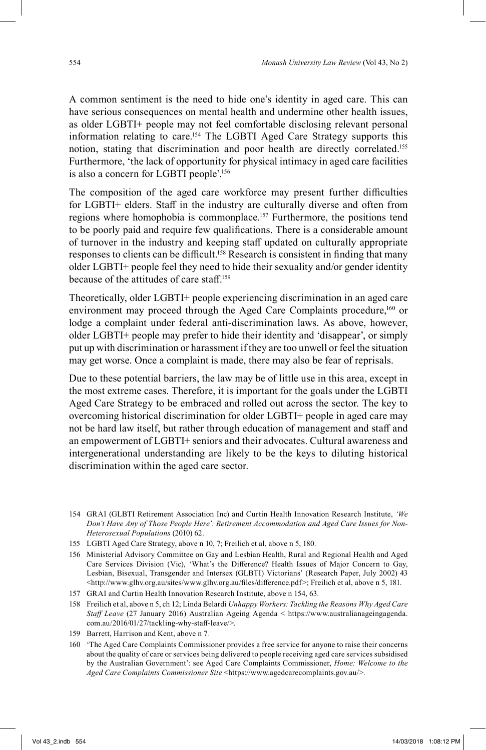A common sentiment is the need to hide one's identity in aged care. This can have serious consequences on mental health and undermine other health issues, as older LGBTI+ people may not feel comfortable disclosing relevant personal information relating to care. 154 The LGBTI Aged Care Strategy supports this notion, stating that discrimination and poor health are directly correlated. 155 Furthermore, 'the lack of opportunity for physical intimacy in aged care facilities is also a concern for LGBTI people'. 156

The composition of the aged care workforce may present further difficulties for LGBTI+ elders. Staff in the industry are culturally diverse and often from regions where homophobia is commonplace.<sup>157</sup> Furthermore, the positions tend to be poorly paid and require few qualifications. There is a considerable amount of turnover in the industry and keeping staff updated on culturally appropriate responses to clients can be difficult.<sup>158</sup> Research is consistent in finding that many older LGBTI+ people feel they need to hide their sexuality and/or gender identity because of the attitudes of care staff. 159

Theoretically, older LGBTI+ people experiencing discrimination in an aged care environment may proceed through the Aged Care Complaints procedure,160 or lodge a complaint under federal anti-discrimination laws. As above, however, older LGBTI+ people may prefer to hide their identity and 'disappear', or simply put up with discrimination or harassment if they are too unwell or feel the situation may get worse. Once a complaint is made, there may also be fear of reprisals.

Due to these potential barriers, the law may be of little use in this area, except in the most extreme cases. Therefore, it is important for the goals under the LGBTI Aged Care Strategy to be embraced and rolled out across the sector. The key to overcoming historical discrimination for older LGBTI+ people in aged care may not be hard law itself, but rather through education of management and staff and an empowerment of LGBTI+ seniors and their advocates. Cultural awareness and intergenerational understanding are likely to be the keys to diluting historical discrimination within the aged care sector.

- 157 GRAI and Curtin Health Innovation Research Institute, above n 154, 63.
- 158 Freilich et al, above n 5, ch 12; Linda Belardi *Unhappy Workers: Tackling the Reasons Why Aged Care Staff Leave* (27 January 2016) Australian Ageing Agenda < https://www.australianageingagenda. com.au/2016/01/27/tackling-why-staff -leave/>.
- 159 Barrett, Harrison and Kent, above n 7.
- 160 'The Aged Care Complaints Commissioner provides a free service for anyone to raise their concerns about the quality of care or services being delivered to people receiving aged care services subsidised by the Australian Government': see Aged Care Complaints Commissioner, *Home: Welcome to the Aged Care Complaints Commissioner Site* <https://www.agedcarecomplaints.gov.au/>.

<sup>154</sup> GRAI (GLBTI Retirement Association Inc) and Curtin Health Innovation Research Institute, *'We Don't Have Any of Those People Here': Retirement Accommodation and Aged Care Issues for Non-Heterosexual Populations* (2010) 62.

<sup>155</sup> LGBTI Aged Care Strategy, above n 10, 7; Freilich et al, above n 5, 180.

<sup>156</sup> Ministerial Advisory Committee on Gay and Lesbian Health, Rural and Regional Health and Aged Care Services Division (Vic), 'What's the Difference? Health Issues of Major Concern to Gay, Lesbian, Bisexual, Transgender and Intersex (GLBTI) Victorians' (Research Paper, July 2002) 43 <http://www.glhv.org.au/sites/www.glhv.org.au/files/difference.pdf>; Freilich et al, above n 5, 181.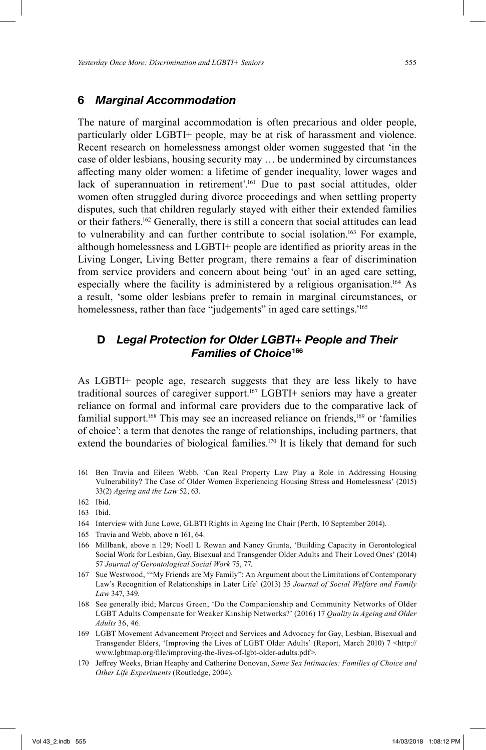#### **6** *Marginal Accommodation*

The nature of marginal accommodation is often precarious and older people, particularly older LGBTI+ people, may be at risk of harassment and violence. Recent research on homelessness amongst older women suggested that 'in the case of older lesbians, housing security may … be undermined by circumstances affecting many older women: a lifetime of gender inequality, lower wages and lack of superannuation in retirement'. 161 Due to past social attitudes, older women often struggled during divorce proceedings and when settling property disputes, such that children regularly stayed with either their extended families or their fathers.<sup>162</sup> Generally, there is still a concern that social attitudes can lead to vulnerability and can further contribute to social isolation. 163 For example, although homelessness and LGBTI+ people are identified as priority areas in the Living Longer, Living Better program, there remains a fear of discrimination from service providers and concern about being 'out' in an aged care setting, especially where the facility is administered by a religious organisation. 164 As a result, 'some older lesbians prefer to remain in marginal circumstances, or homelessness, rather than face "judgements" in aged care settings.'<sup>165</sup>

# **D** *Legal Protection for Older LGBTI+ People and Their Families of Choice***<sup>166</sup>**

As LGBTI+ people age, research suggests that they are less likely to have traditional sources of caregiver support. 167 LGBTI+ seniors may have a greater reliance on formal and informal care providers due to the comparative lack of familial support.<sup>168</sup> This may see an increased reliance on friends,<sup>169</sup> or 'families of choice': a term that denotes the range of relationships, including partners, that extend the boundaries of biological families.<sup>170</sup> It is likely that demand for such

161 Ben Travia and Eileen Webb, 'Can Real Property Law Play a Role in Addressing Housing Vulnerability? The Case of Older Women Experiencing Housing Stress and Homelessness' (2015) 33(2) *Ageing and the Law* 52, 63.

- 164 Interview with June Lowe, GLBTI Rights in Ageing Inc Chair (Perth, 10 September 2014).
- 165 Travia and Webb, above n 161, 64.
- 166 Millbank, above n 129; Noell L Rowan and Nancy Giunta, 'Building Capacity in Gerontological Social Work for Lesbian, Gay, Bisexual and Transgender Older Adults and Their Loved Ones' (2014) 57 *Journal of Gerontological Social Work* 75, 77.
- 167 Sue Westwood, '"My Friends are My Family": An Argument about the Limitations of Contemporary Law's Recognition of Relationships in Later Life' (2013) 35 *Journal of Social Welfare and Family Law* 347, 349.
- 168 See generally ibid; Marcus Green, 'Do the Companionship and Community Networks of Older LGBT Adults Compensate for Weaker Kinship Networks?' (2016) 17 *Quality in Ageing and Older Adults* 36, 46.
- 169 LGBT Movement Advancement Project and Services and Advocacy for Gay, Lesbian, Bisexual and Transgender Elders, 'Improving the Lives of LGBT Older Adults' (Report, March 2010) 7 <http:// www.lgbtmap.org/fi le/improving-the-lives-of-lgbt-older-adults.pdf>.
- 170 Jeff rey Weeks, Brian Heaphy and Catherine Donovan, *Same Sex Intimacies: Families of Choice and Other Life Experiments* (Routledge, 2004).

<sup>162</sup> Ibid.

<sup>163</sup> Ibid.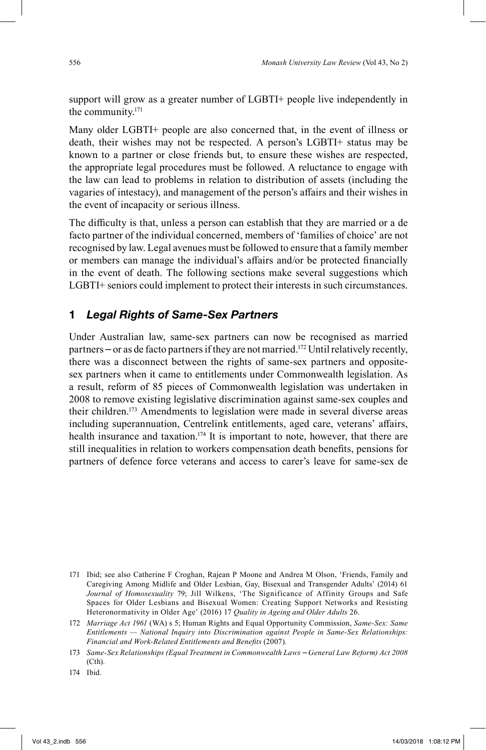support will grow as a greater number of LGBTI+ people live independently in the community. 171

Many older LGBTI+ people are also concerned that, in the event of illness or death, their wishes may not be respected. A person's LGBTI+ status may be known to a partner or close friends but, to ensure these wishes are respected, the appropriate legal procedures must be followed. A reluctance to engage with the law can lead to problems in relation to distribution of assets (including the vagaries of intestacy), and management of the person's affairs and their wishes in the event of incapacity or serious illness.

The difficulty is that, unless a person can establish that they are married or a de facto partner of the individual concerned, members of 'families of choice' are not recognised by law. Legal avenues must be followed to ensure that a family member or members can manage the individual's affairs and/or be protected financially in the event of death. The following sections make several suggestions which LGBTI+ seniors could implement to protect their interests in such circumstances.

#### **1** *Legal Rights of Same-Sex Partners*

Under Australian law, same-sex partners can now be recognised as married partners – or as de facto partners if they are not married. 172 Until relatively recently, there was a disconnect between the rights of same-sex partners and oppositesex partners when it came to entitlements under Commonwealth legislation. As a result, reform of 85 pieces of Commonwealth legislation was undertaken in 2008 to remove existing legislative discrimination against same-sex couples and their children. 173 Amendments to legislation were made in several diverse areas including superannuation, Centrelink entitlements, aged care, veterans' affairs, health insurance and taxation.<sup>174</sup> It is important to note, however, that there are still inequalities in relation to workers compensation death benefits, pensions for partners of defence force veterans and access to carer's leave for same-sex de

<sup>171</sup> Ibid; see also Catherine F Croghan, Rajean P Moone and Andrea M Olson, 'Friends, Family and Caregiving Among Midlife and Older Lesbian, Gay, Bisexual and Transgender Adults' (2014) 61 *Journal of Homosexuality* 79; Jill Wilkens, 'The Significance of Affinity Groups and Safe Spaces for Older Lesbians and Bisexual Women: Creating Support Networks and Resisting Heteronormativity in Older Age' (2016) 17 *Quality in Ageing and Older Adults* 26.

<sup>172</sup> *Marriage Act 1961* (WA) s 5; Human Rights and Equal Opportunity Commission, *Same-Sex: Same Entitlements — National Inquiry into Discrimination against People in Same-Sex Relationships: Financial and Work-Related Entitlements and Benefits (2007).* 

<sup>173</sup> *Same-Sex Relationships (Equal Treatment in Commonwealth Laws – General Law Reform) Act 2008*  (Cth).

<sup>174</sup> Ibid.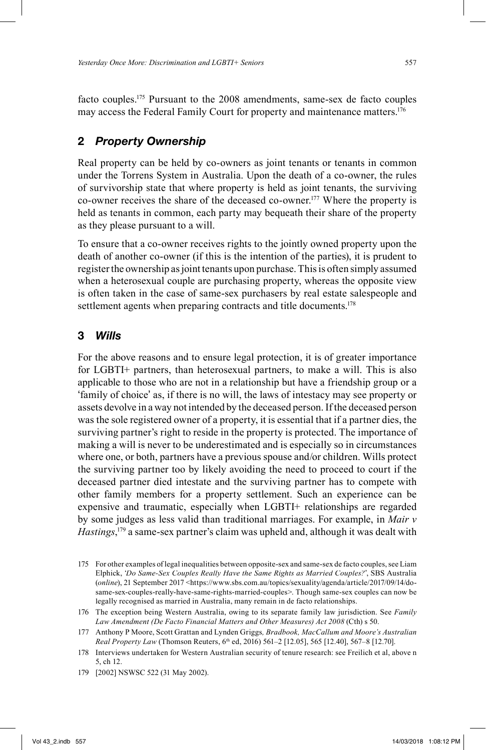facto couples. 175 Pursuant to the 2008 amendments, same-sex de facto couples may access the Federal Family Court for property and maintenance matters. 176

### **2** *Property Ownership*

Real property can be held by co-owners as joint tenants or tenants in common under the Torrens System in Australia. Upon the death of a co-owner, the rules of survivorship state that where property is held as joint tenants, the surviving co-owner receives the share of the deceased co-owner. 177 Where the property is held as tenants in common, each party may bequeath their share of the property as they please pursuant to a will.

To ensure that a co-owner receives rights to the jointly owned property upon the death of another co-owner (if this is the intention of the parties), it is prudent to register the ownership as joint tenants upon purchase. This is often simply assumed when a heterosexual couple are purchasing property, whereas the opposite view is often taken in the case of same-sex purchasers by real estate salespeople and settlement agents when preparing contracts and title documents.<sup>178</sup>

#### **3** *Wills*

For the above reasons and to ensure legal protection, it is of greater importance for LGBTI+ partners, than heterosexual partners, to make a will. This is also applicable to those who are not in a relationship but have a friendship group or a 'family of choice' as, if there is no will, the laws of intestacy may see property or assets devolve in a way not intended by the deceased person. If the deceased person was the sole registered owner of a property, it is essential that if a partner dies, the surviving partner's right to reside in the property is protected. The importance of making a will is never to be underestimated and is especially so in circumstances where one, or both, partners have a previous spouse and/or children. Wills protect the surviving partner too by likely avoiding the need to proceed to court if the deceased partner died intestate and the surviving partner has to compete with other family members for a property settlement. Such an experience can be expensive and traumatic, especially when LGBTI+ relationships are regarded by some judges as less valid than traditional marriages. For example, in *Mair v Hastings*, 179 a same-sex partner's claim was upheld and, although it was dealt with

<sup>175</sup> For other examples of legal inequalities between opposite-sex and same-sex de facto couples, see Liam Elphick, '*Do Same-Sex Couples Really Have the Same Rights as Married Couples?*', SBS Australia (*online*), 21 September 2017 <https://www.sbs.com.au/topics/sexuality/agenda/article/2017/09/14/dosame-sex-couples-really-have-same-rights-married-couples>. Though same-sex couples can now be legally recognised as married in Australia, many remain in de facto relationships.

<sup>176</sup> The exception being Western Australia, owing to its separate family law jurisdiction. See *Family Law Amendment (De Facto Financial Matters and Other Measures) Act 2008* (Cth) s 50.

<sup>177</sup> Anthony P Moore, Scott Grattan and Lynden Griggs*, Bradbook, MacCallum and Moore's Australian Real Property Law* (Thomson Reuters, 6<sup>th</sup> ed, 2016) 561–2 [12.05], 565 [12.40], 567–8 [12.70].

<sup>178</sup> Interviews undertaken for Western Australian security of tenure research: see Freilich et al, above n 5, ch 12.

<sup>179</sup> [2002] NSWSC 522 (31 May 2002).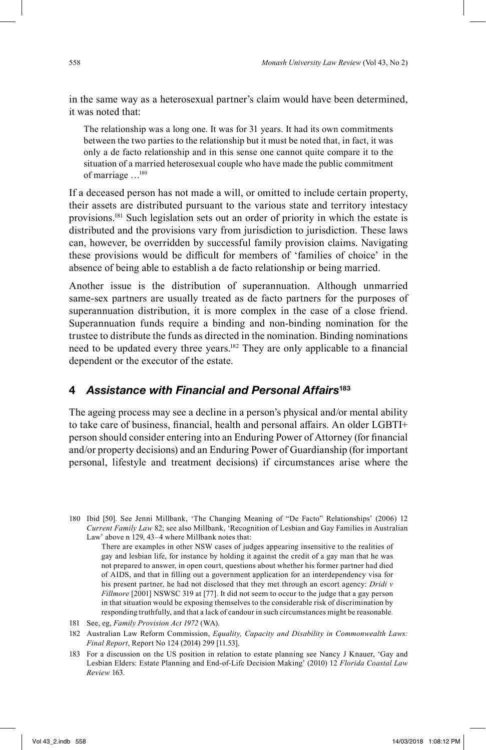in the same way as a heterosexual partner's claim would have been determined, it was noted that:

The relationship was a long one. It was for 31 years. It had its own commitments between the two parties to the relationship but it must be noted that, in fact, it was only a de facto relationship and in this sense one cannot quite compare it to the situation of a married heterosexual couple who have made the public commitment of marriage …180

If a deceased person has not made a will, or omitted to include certain property, their assets are distributed pursuant to the various state and territory intestacy provisions. 181 Such legislation sets out an order of priority in which the estate is distributed and the provisions vary from jurisdiction to jurisdiction. These laws can, however, be overridden by successful family provision claims. Navigating these provisions would be difficult for members of 'families of choice' in the absence of being able to establish a de facto relationship or being married.

Another issue is the distribution of superannuation. Although unmarried same-sex partners are usually treated as de facto partners for the purposes of superannuation distribution, it is more complex in the case of a close friend. Superannuation funds require a binding and non-binding nomination for the trustee to distribute the funds as directed in the nomination. Binding nominations need to be updated every three years.<sup>182</sup> They are only applicable to a financial dependent or the executor of the estate.

### **4** *Assistance with Financial and Personal Affairs***<sup>183</sup>**

The ageing process may see a decline in a person's physical and/or mental ability to take care of business, financial, health and personal affairs. An older LGBTI+ person should consider entering into an Enduring Power of Attorney (for financial and/or property decisions) and an Enduring Power of Guardianship (for important personal, lifestyle and treatment decisions) if circumstances arise where the

180 Ibid [50]. See Jenni Millbank, 'The Changing Meaning of "De Facto" Relationships' (2006) 12 *Current Family Law* 82; see also Millbank, 'Recognition of Lesbian and Gay Families in Australian Law' above n 129, 43–4 where Millbank notes that:

There are examples in other NSW cases of judges appearing insensitive to the realities of gay and lesbian life, for instance by holding it against the credit of a gay man that he was not prepared to answer, in open court, questions about whether his former partner had died of AIDS, and that in filling out a government application for an interdependency visa for his present partner, he had not disclosed that they met through an escort agency: *Dridi v Fillmore* [2001] NSWSC 319 at [77]. It did not seem to occur to the judge that a gay person in that situation would be exposing themselves to the considerable risk of discrimination by responding truthfully, and that a lack of candour in such circumstances might be reasonable.

- 181 See, eg, *Family Provision Act 1972* (WA).
- 182 Australian Law Reform Commission, *Equality, Capacity and Disability in Commonwealth Laws: Final Report*, Report No 124 (2014) 299 [11.53].
- 183 For a discussion on the US position in relation to estate planning see Nancy J Knauer, 'Gay and Lesbian Elders: Estate Planning and End-of-Life Decision Making' (2010) 12 *Florida Coastal Law Review* 163.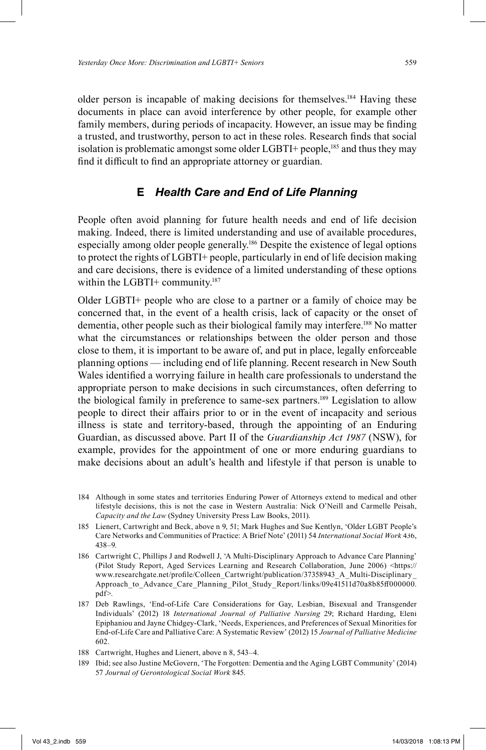older person is incapable of making decisions for themselves. 184 Having these documents in place can avoid interference by other people, for example other family members, during periods of incapacity. However, an issue may be finding a trusted, and trustworthy, person to act in these roles. Research finds that social isolation is problematic amongst some older LGBTI+ people, $185$  and thus they may find it difficult to find an appropriate attorney or guardian.

# **E** *Health Care and End of Life Planning*

People often avoid planning for future health needs and end of life decision making. Indeed, there is limited understanding and use of available procedures, especially among older people generally. 186 Despite the existence of legal options to protect the rights of LGBTI+ people, particularly in end of life decision making and care decisions, there is evidence of a limited understanding of these options within the LGBTI+ community.<sup>187</sup>

Older LGBTI+ people who are close to a partner or a family of choice may be concerned that, in the event of a health crisis, lack of capacity or the onset of dementia, other people such as their biological family may interfere. 188 No matter what the circumstances or relationships between the older person and those close to them, it is important to be aware of, and put in place, legally enforceable planning options — including end of life planning. Recent research in New South Wales identified a worrying failure in health care professionals to understand the appropriate person to make decisions in such circumstances, often deferring to the biological family in preference to same-sex partners. 189 Legislation to allow people to direct their affairs prior to or in the event of incapacity and serious illness is state and territory-based, through the appointing of an Enduring Guardian, as discussed above. Part II of the *Guardianship Act 1987* (NSW), for example, provides for the appointment of one or more enduring guardians to make decisions about an adult's health and lifestyle if that person is unable to

- 184 Although in some states and territories Enduring Power of Attorneys extend to medical and other lifestyle decisions, this is not the case in Western Australia: Nick O'Neill and Carmelle Peisah, *Capacity and the Law* (Sydney University Press Law Books, 2011).
- 185 Lienert, Cartwright and Beck, above n 9, 51; Mark Hughes and Sue Kentlyn, 'Older LGBT People's Care Networks and Communities of Practice: A Brief Note' (2011) 54 *International Social Work* 436, 438–9.
- 186 Cartwright C, Phillips J and Rodwell J, 'A Multi-Disciplinary Approach to Advance Care Planning' (Pilot Study Report, Aged Services Learning and Research Collaboration, June 2006) <https:// www.researchgate.net/profile/Colleen\_Cartwright/publication/37358943\_A\_Multi-Disciplinary Approach\_to\_Advance\_Care\_Planning\_Pilot\_Study\_Report/links/09e41511d70a8b85ff 000000. pdf>.
- 187 Deb Rawlings, 'End-of-Life Care Considerations for Gay, Lesbian, Bisexual and Transgender Individuals' (2012) 18 *International Journal of Palliative Nursing* 29; Richard Harding, Eleni Epiphaniou and Jayne Chidgey-Clark, 'Needs, Experiences, and Preferences of Sexual Minorities for End-of-Life Care and Palliative Care: A Systematic Review' (2012) 15 *Journal of Palliative Medicine* 602.
- 188 Cartwright, Hughes and Lienert, above n 8, 543–4.
- 189 Ibid; see also Justine McGovern, 'The Forgotten: Dementia and the Aging LGBT Community' (2014) 57 *Journal of Gerontological Social Work* 845.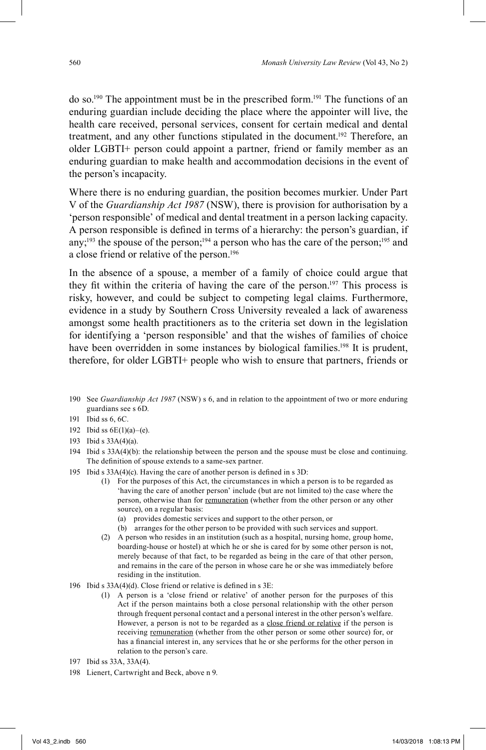do so.190 The appointment must be in the prescribed form. 191 The functions of an enduring guardian include deciding the place where the appointer will live, the health care received, personal services, consent for certain medical and dental treatment, and any other functions stipulated in the document.<sup>192</sup> Therefore, an older LGBTI+ person could appoint a partner, friend or family member as an enduring guardian to make health and accommodation decisions in the event of the person's incapacity.

Where there is no enduring guardian, the position becomes murkier. Under Part V of the *Guardianship Act 1987* (NSW), there is provision for authorisation by a 'person responsible' of medical and dental treatment in a person lacking capacity. A person responsible is defined in terms of a hierarchy: the person's guardian, if any;<sup>193</sup> the spouse of the person;<sup>194</sup> a person who has the care of the person;<sup>195</sup> and a close friend or relative of the person. 196

In the absence of a spouse, a member of a family of choice could argue that they fit within the criteria of having the care of the person.<sup>197</sup> This process is risky, however, and could be subject to competing legal claims. Furthermore, evidence in a study by Southern Cross University revealed a lack of awareness amongst some health practitioners as to the criteria set down in the legislation for identifying a 'person responsible' and that the wishes of families of choice have been overridden in some instances by biological families. 198 It is prudent, therefore, for older LGBTI+ people who wish to ensure that partners, friends or

- 190 See *Guardianship Act 1987* (NSW) s 6, and in relation to the appointment of two or more enduring guardians see s 6D.
- 191 Ibid ss 6, 6C.
- 192 Ibid ss  $6E(1)(a) (e)$ .
- 193 Ibid s 33A(4)(a).
- 194 Ibid s 33A(4)(b): the relationship between the person and the spouse must be close and continuing. The definition of spouse extends to a same-sex partner.
- 195 Ibid s  $33A(4)(c)$ . Having the care of another person is defined in s  $3D$ :
	- (1) For the purposes of this Act, the circumstances in which a person is to be regarded as 'having the care of another person' include (but are not limited to) the case where the person, otherwise than for remuneration (whether from the other person or any other source), on a regular basis:
		- (a) provides domestic services and support to the other person, or
		- (b) arranges for the other person to be provided with such services and support.
	- (2) A person who resides in an institution (such as a hospital, nursing home, group home, boarding-house or hostel) at which he or she is cared for by some other person is not, merely because of that fact, to be regarded as being in the care of that other person, and remains in the care of the person in whose care he or she was immediately before residing in the institution.
- 196 Ibid s  $33A(4)(d)$ . Close friend or relative is defined in s 3E:
	- (1) A person is a 'close friend or relative' of another person for the purposes of this Act if the person maintains both a close personal relationship with the other person through frequent personal contact and a personal interest in the other person's welfare. However, a person is not to be regarded as a close friend or relative if the person is receiving remuneration (whether from the other person or some other source) for, or has a financial interest in, any services that he or she performs for the other person in relation to the person's care.
- 197 Ibid ss 33A, 33A(4).
- 198 Lienert, Cartwright and Beck, above n 9.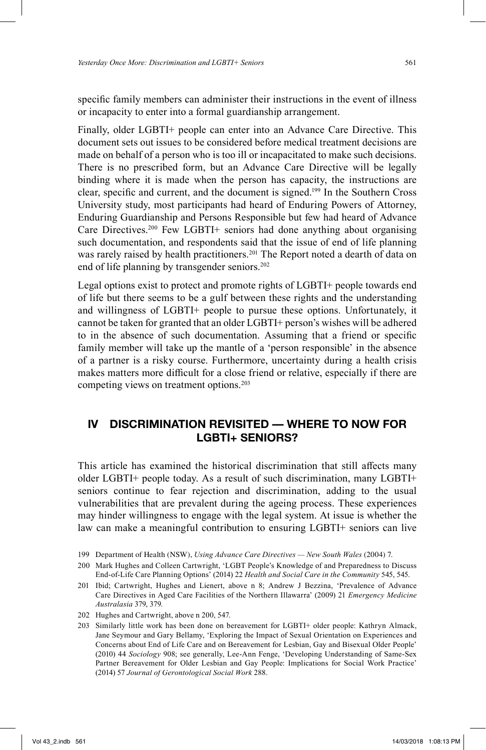specific family members can administer their instructions in the event of illness or incapacity to enter into a formal guardianship arrangement.

Finally, older LGBTI+ people can enter into an Advance Care Directive. This document sets out issues to be considered before medical treatment decisions are made on behalf of a person who is too ill or incapacitated to make such decisions. There is no prescribed form, but an Advance Care Directive will be legally binding where it is made when the person has capacity, the instructions are clear, specific and current, and the document is signed.<sup>199</sup> In the Southern Cross University study, most participants had heard of Enduring Powers of Attorney, Enduring Guardianship and Persons Responsible but few had heard of Advance Care Directives. 200 Few LGBTI+ seniors had done anything about organising such documentation, and respondents said that the issue of end of life planning was rarely raised by health practitioners. 201 The Report noted a dearth of data on end of life planning by transgender seniors. 202

Legal options exist to protect and promote rights of LGBTI+ people towards end of life but there seems to be a gulf between these rights and the understanding and willingness of LGBTI+ people to pursue these options. Unfortunately, it cannot be taken for granted that an older LGBTI+ person's wishes will be adhered to in the absence of such documentation. Assuming that a friend or specific family member will take up the mantle of a 'person responsible' in the absence of a partner is a risky course. Furthermore, uncertainty during a health crisis makes matters more difficult for a close friend or relative, especially if there are competing views on treatment options. 203

# **IV DISCRIMINATION REVISITED — WHERE TO NOW FOR LGBTI+ SENIORS?**

This article has examined the historical discrimination that still affects many older LGBTI+ people today. As a result of such discrimination, many LGBTI+ seniors continue to fear rejection and discrimination, adding to the usual vulnerabilities that are prevalent during the ageing process. These experiences may hinder willingness to engage with the legal system. At issue is whether the law can make a meaningful contribution to ensuring LGBTI+ seniors can live

- 202 Hughes and Cartwright, above n 200, 547.
- 203 Similarly little work has been done on bereavement for LGBTI+ older people: Kathryn Almack, Jane Seymour and Gary Bellamy, 'Exploring the Impact of Sexual Orientation on Experiences and Concerns about End of Life Care and on Bereavement for Lesbian, Gay and Bisexual Older People' (2010) 44 *Sociology* 908; see generally, Lee-Ann Fenge, 'Developing Understanding of Same-Sex Partner Bereavement for Older Lesbian and Gay People: Implications for Social Work Practice' (2014) 57 *Journal of Gerontological Social Work* 288.

<sup>199</sup> Department of Health (NSW), *Using Advance Care Directives — New South Wales* (2004) 7.

<sup>200</sup> Mark Hughes and Colleen Cartwright, 'LGBT People's Knowledge of and Preparedness to Discuss End-of-Life Care Planning Options' (2014) 22 *Health and Social Care in the Community* 545, 545.

<sup>201</sup> Ibid; Cartwright, Hughes and Lienert, above n 8; Andrew J Bezzina, 'Prevalence of Advance Care Directives in Aged Care Facilities of the Northern Illawarra' (2009) 21 *Emergency Medicine Australasia* 379, 379.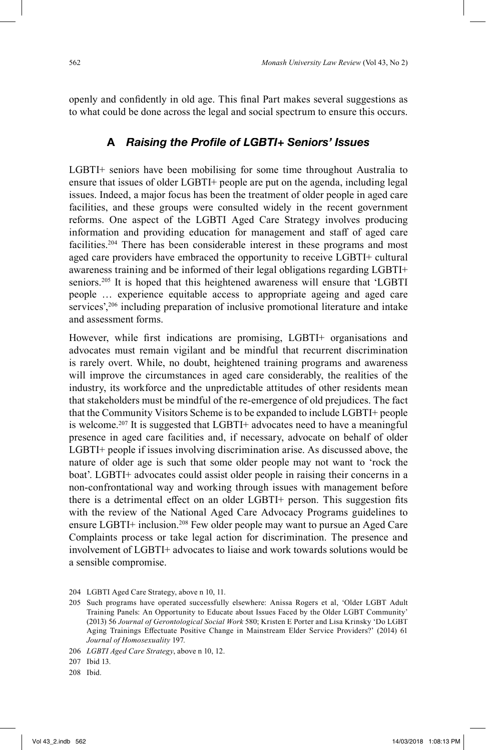openly and confidently in old age. This final Part makes several suggestions as to what could be done across the legal and social spectrum to ensure this occurs.

# A Raising the Profile of LGBTI+ Seniors' Issues

LGBTI+ seniors have been mobilising for some time throughout Australia to ensure that issues of older LGBTI+ people are put on the agenda, including legal issues. Indeed, a major focus has been the treatment of older people in aged care facilities, and these groups were consulted widely in the recent government reforms. One aspect of the LGBTI Aged Care Strategy involves producing information and providing education for management and staff of aged care facilities.204 There has been considerable interest in these programs and most aged care providers have embraced the opportunity to receive LGBTI+ cultural awareness training and be informed of their legal obligations regarding LGBTI+ seniors.<sup>205</sup> It is hoped that this heightened awareness will ensure that 'LGBTI people … experience equitable access to appropriate ageing and aged care services',<sup>206</sup> including preparation of inclusive promotional literature and intake and assessment forms.

However, while first indications are promising, LGBTI+ organisations and advocates must remain vigilant and be mindful that recurrent discrimination is rarely overt. While, no doubt, heightened training programs and awareness will improve the circumstances in aged care considerably, the realities of the industry, its workforce and the unpredictable attitudes of other residents mean that stakeholders must be mindful of the re-emergence of old prejudices. The fact that the Community Visitors Scheme is to be expanded to include LGBTI+ people is welcome.207 It is suggested that LGBTI+ advocates need to have a meaningful presence in aged care facilities and, if necessary, advocate on behalf of older LGBTI+ people if issues involving discrimination arise. As discussed above, the nature of older age is such that some older people may not want to 'rock the boat'. LGBTI+ advocates could assist older people in raising their concerns in a non-confrontational way and working through issues with management before there is a detrimental effect on an older LGBTI+ person. This suggestion fits with the review of the National Aged Care Advocacy Programs guidelines to ensure LGBTI+ inclusion. 208 Few older people may want to pursue an Aged Care Complaints process or take legal action for discrimination. The presence and involvement of LGBTI+ advocates to liaise and work towards solutions would be a sensible compromise.

<sup>204</sup> LGBTI Aged Care Strategy, above n 10, 11.

<sup>205</sup> Such programs have operated successfully elsewhere: Anissa Rogers et al, 'Older LGBT Adult Training Panels: An Opportunity to Educate about Issues Faced by the Older LGBT Community' (2013) 56 *Journal of Gerontological Social Work* 580; Kristen E Porter and Lisa Krinsky 'Do LGBT Aging Trainings Effectuate Positive Change in Mainstream Elder Service Providers?' (2014) 61 *Journal of Homosexuality* 197.

<sup>206</sup> *LGBTI Aged Care Strategy*, above n 10, 12.

<sup>207</sup> Ibid 13.

<sup>208</sup> Ibid.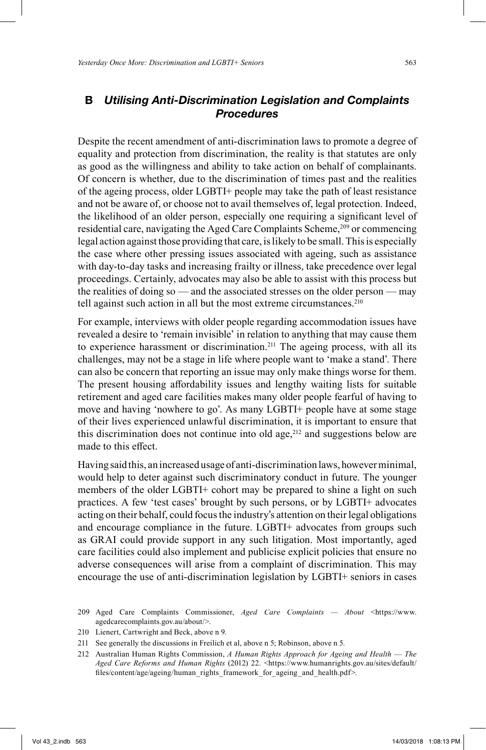# **B** *Utilising Anti-Discrimination Legislation and Complaints Procedures*

Despite the recent amendment of anti-discrimination laws to promote a degree of equality and protection from discrimination, the reality is that statutes are only as good as the willingness and ability to take action on behalf of complainants. Of concern is whether, due to the discrimination of times past and the realities of the ageing process, older LGBTI+ people may take the path of least resistance and not be aware of, or choose not to avail themselves of, legal protection. Indeed, the likelihood of an older person, especially one requiring a significant level of residential care, navigating the Aged Care Complaints Scheme,<sup>209</sup> or commencing legal action against those providing that care, is likely to be small. This is especially the case where other pressing issues associated with ageing, such as assistance with day-to-day tasks and increasing frailty or illness, take precedence over legal proceedings. Certainly, advocates may also be able to assist with this process but the realities of doing so — and the associated stresses on the older person — may tell against such action in all but the most extreme circumstances. 210

For example, interviews with older people regarding accommodation issues have revealed a desire to 'remain invisible' in relation to anything that may cause them to experience harassment or discrimination.<sup>211</sup> The ageing process, with all its challenges, may not be a stage in life where people want to 'make a stand'. There can also be concern that reporting an issue may only make things worse for them. The present housing affordability issues and lengthy waiting lists for suitable retirement and aged care facilities makes many older people fearful of having to move and having 'nowhere to go'. As many LGBTI+ people have at some stage of their lives experienced unlawful discrimination, it is important to ensure that this discrimination does not continue into old age, $212$  and suggestions below are made to this effect.

Having said this, an increased usage of anti-discrimination laws, however minimal, would help to deter against such discriminatory conduct in future. The younger members of the older LGBTI+ cohort may be prepared to shine a light on such practices. A few 'test cases' brought by such persons, or by LGBTI+ advocates acting on their behalf, could focus the industry's attention on their legal obligations and encourage compliance in the future. LGBTI+ advocates from groups such as GRAI could provide support in any such litigation. Most importantly, aged care facilities could also implement and publicise explicit policies that ensure no adverse consequences will arise from a complaint of discrimination. This may encourage the use of anti-discrimination legislation by LGBTI+ seniors in cases

- 210 Lienert, Cartwright and Beck, above n 9.
- 211 See generally the discussions in Freilich et al, above n 5; Robinson, above n 5.

<sup>209</sup> Aged Care Complaints Commissioner, *Aged Care Complaints — About* <https://www. agedcarecomplaints.gov.au/about/>.

<sup>212</sup> Australian Human Rights Commission, *A Human Rights Approach for Ageing and Health* — *The Aged Care Reforms and Human Rights* (2012) 22. <https://www.humanrights.gov.au/sites/default/ files/content/age/ageing/human\_rights\_framework\_for\_ageing\_and\_health.pdf>.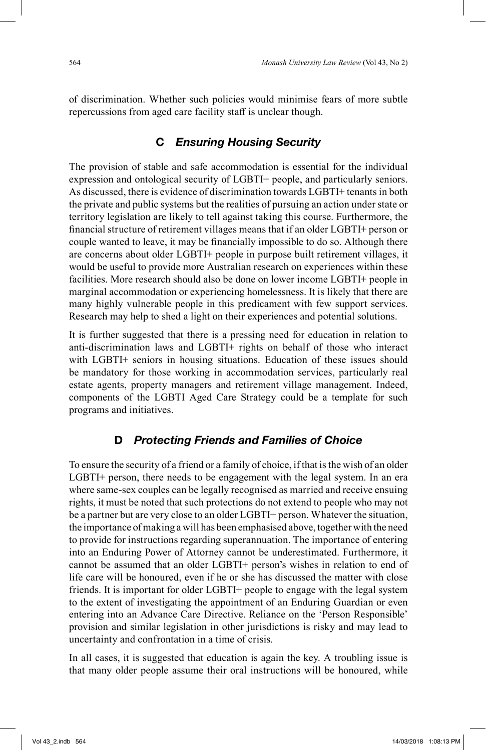of discrimination. Whether such policies would minimise fears of more subtle repercussions from aged care facility staff is unclear though.

# **C** *Ensuring Housing Security*

The provision of stable and safe accommodation is essential for the individual expression and ontological security of LGBTI+ people, and particularly seniors. As discussed, there is evidence of discrimination towards LGBTI+ tenants in both the private and public systems but the realities of pursuing an action under state or territory legislation are likely to tell against taking this course. Furthermore, the financial structure of retirement villages means that if an older LGBTI+ person or couple wanted to leave, it may be financially impossible to do so. Although there are concerns about older LGBTI+ people in purpose built retirement villages, it would be useful to provide more Australian research on experiences within these facilities. More research should also be done on lower income LGBTI+ people in marginal accommodation or experiencing homelessness. It is likely that there are many highly vulnerable people in this predicament with few support services. Research may help to shed a light on their experiences and potential solutions.

It is further suggested that there is a pressing need for education in relation to anti-discrimination laws and LGBTI+ rights on behalf of those who interact with LGBTI+ seniors in housing situations. Education of these issues should be mandatory for those working in accommodation services, particularly real estate agents, property managers and retirement village management. Indeed, components of the LGBTI Aged Care Strategy could be a template for such programs and initiatives.

### **D** *Protecting Friends and Families of Choice*

To ensure the security of a friend or a family of choice, if that is the wish of an older LGBTI+ person, there needs to be engagement with the legal system. In an era where same-sex couples can be legally recognised as married and receive ensuing rights, it must be noted that such protections do not extend to people who may not be a partner but are very close to an older LGBTI+ person. Whatever the situation, the importance of making a will has been emphasised above, together with the need to provide for instructions regarding superannuation. The importance of entering into an Enduring Power of Attorney cannot be underestimated. Furthermore, it cannot be assumed that an older LGBTI+ person's wishes in relation to end of life care will be honoured, even if he or she has discussed the matter with close friends. It is important for older LGBTI+ people to engage with the legal system to the extent of investigating the appointment of an Enduring Guardian or even entering into an Advance Care Directive. Reliance on the 'Person Responsible' provision and similar legislation in other jurisdictions is risky and may lead to uncertainty and confrontation in a time of crisis.

In all cases, it is suggested that education is again the key. A troubling issue is that many older people assume their oral instructions will be honoured, while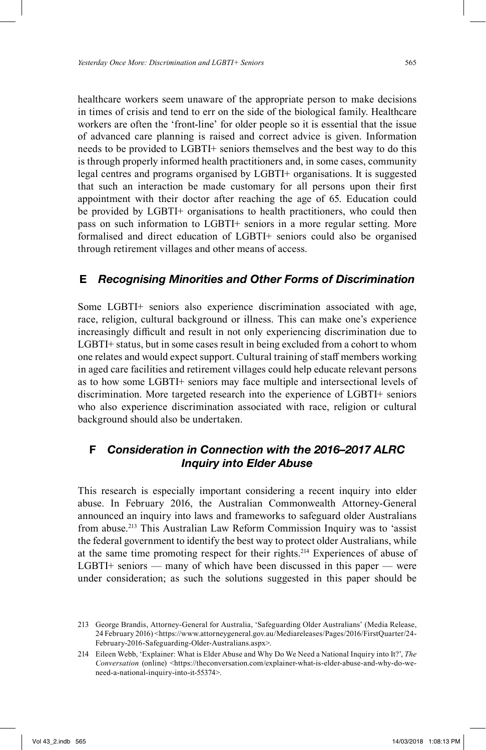healthcare workers seem unaware of the appropriate person to make decisions in times of crisis and tend to err on the side of the biological family. Healthcare workers are often the 'front-line' for older people so it is essential that the issue of advanced care planning is raised and correct advice is given. Information needs to be provided to LGBTI+ seniors themselves and the best way to do this is through properly informed health practitioners and, in some cases, community legal centres and programs organised by LGBTI+ organisations. It is suggested that such an interaction be made customary for all persons upon their first appointment with their doctor after reaching the age of 65. Education could be provided by LGBTI+ organisations to health practitioners, who could then pass on such information to LGBTI+ seniors in a more regular setting. More formalised and direct education of LGBTI+ seniors could also be organised through retirement villages and other means of access.

# **E** *Recognising Minorities and Other Forms of Discrimination*

Some LGBTI+ seniors also experience discrimination associated with age, race, religion, cultural background or illness. This can make one's experience increasingly difficult and result in not only experiencing discrimination due to LGBTI+ status, but in some cases result in being excluded from a cohort to whom one relates and would expect support. Cultural training of staff members working in aged care facilities and retirement villages could help educate relevant persons as to how some LGBTI+ seniors may face multiple and intersectional levels of discrimination. More targeted research into the experience of LGBTI+ seniors who also experience discrimination associated with race, religion or cultural background should also be undertaken.

# **F** *Consideration in Connection with the 2016–2017 ALRC Inquiry into Elder Abuse*

This research is especially important considering a recent inquiry into elder abuse. In February 2016, the Australian Commonwealth Attorney-General announced an inquiry into laws and frameworks to safeguard older Australians from abuse.<sup>213</sup> This Australian Law Reform Commission Inquiry was to 'assist the federal government to identify the best way to protect older Australians, while at the same time promoting respect for their rights. 214 Experiences of abuse of LGBTI+ seniors — many of which have been discussed in this paper — were under consideration; as such the solutions suggested in this paper should be

<sup>213</sup> George Brandis, Attorney-General for Australia, 'Safeguarding Older Australians' (Media Release, 24 February 2016) <https://www.attorneygeneral.gov.au/Mediareleases/Pages/2016/FirstQuarter/24- February-2016-Safeguarding-Older-Australians.aspx>.

<sup>214</sup> Eileen Webb, 'Explainer: What is Elder Abuse and Why Do We Need a National Inquiry into It?', *The Conversation* (online) <https://theconversation.com/explainer-what-is-elder-abuse-and-why-do-weneed-a-national-inquiry-into-it-55374>.